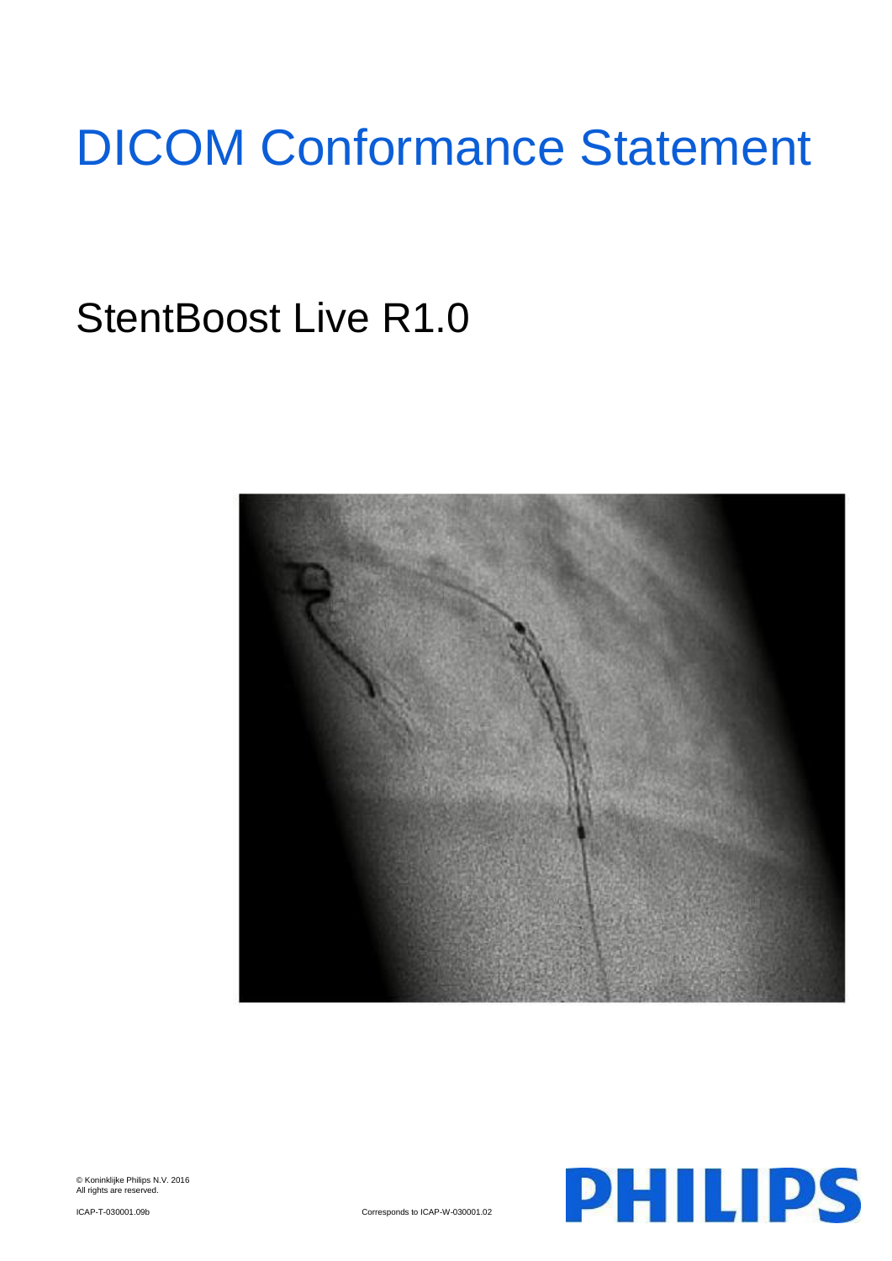# DICOM Conformance Statement

# StentBoost Live R1.0



© Koninklijke Philips N.V. 2016 All rights are reserved.



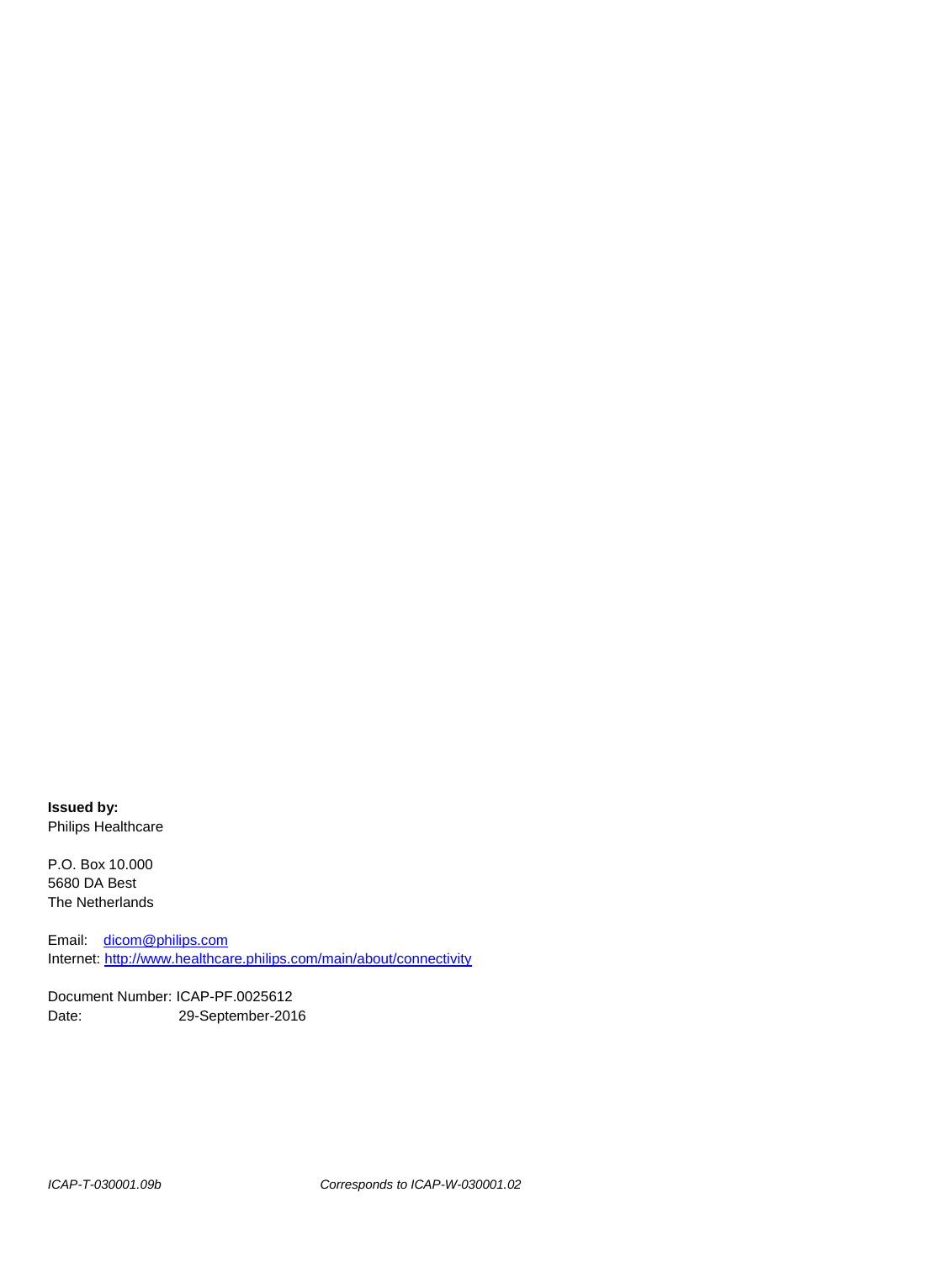**Issued by:** Philips Healthcare

P.O. Box 10.000 5680 DA Best The Netherlands

Email: [dicom@philips.com](mailto:dicom@philips.com) Internet[: http://www.healthcare.philips.com/main/about/connectivity](http://www.healthcare.philips.com/main/about/connectivity)

Document Number: ICAP-PF.0025612 Date: 29-September-2016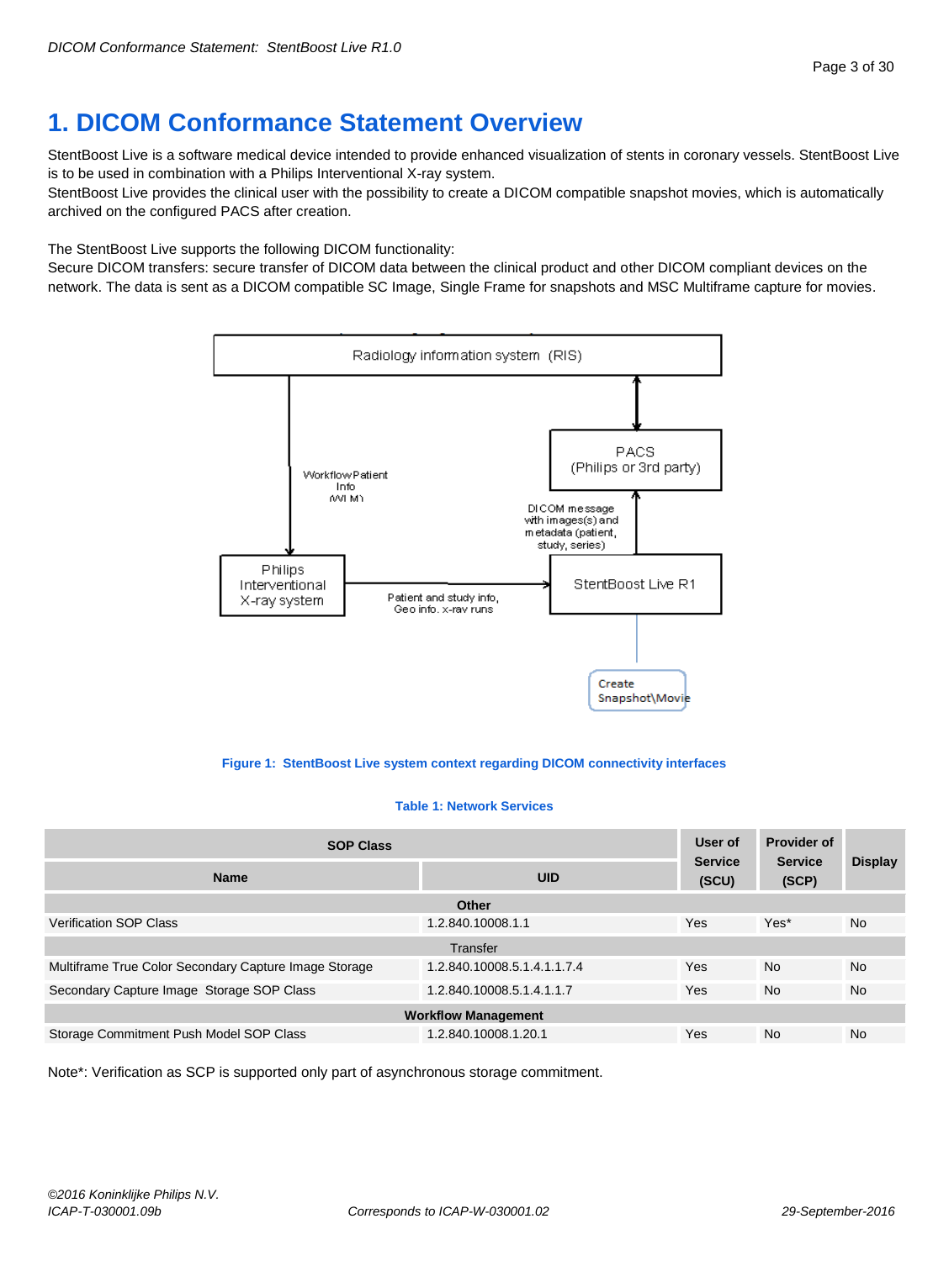# <span id="page-2-0"></span>**1. DICOM Conformance Statement Overview**

StentBoost Live is a software medical device intended to provide enhanced visualization of stents in coronary vessels. StentBoost Live is to be used in combination with a Philips Interventional X-ray system.

StentBoost Live provides the clinical user with the possibility to create a DICOM compatible snapshot movies, which is automatically archived on the configured PACS after creation.

The StentBoost Live supports the following DICOM functionality:

Secure DICOM transfers: secure transfer of DICOM data between the clinical product and other DICOM compliant devices on the network. The data is sent as a DICOM compatible SC Image, Single Frame for snapshots and MSC Multiframe capture for movies.



**Figure 1: StentBoost Live system context regarding DICOM connectivity interfaces**

#### **Table 1: Network Services**

| <b>SOP Class</b>                                                |                             | User of<br><b>Service</b><br>(SCU) | <b>Provider of</b><br><b>Service</b><br>(SCP) | <b>Display</b> |  |
|-----------------------------------------------------------------|-----------------------------|------------------------------------|-----------------------------------------------|----------------|--|
| <b>UID</b><br><b>Name</b>                                       |                             |                                    |                                               |                |  |
|                                                                 | Other                       |                                    |                                               |                |  |
| <b>Verification SOP Class</b><br>1.2.840.10008.1.1              |                             | Yes                                | Yes*                                          | <b>No</b>      |  |
|                                                                 | Transfer                    |                                    |                                               |                |  |
| Multiframe True Color Secondary Capture Image Storage           | 1.2.840.10008.5.1.4.1.1.7.4 | Yes                                | <b>No</b>                                     | <b>No</b>      |  |
| Secondary Capture Image Storage SOP Class                       | 1.2.840.10008.5.1.4.1.1.7   | Yes                                | <b>No</b>                                     | <b>No</b>      |  |
| <b>Workflow Management</b>                                      |                             |                                    |                                               |                |  |
| Storage Commitment Push Model SOP Class<br>1.2.840.10008.1.20.1 |                             | Yes                                | <b>No</b>                                     | <b>No</b>      |  |

Note\*: Verification as SCP is supported only part of asynchronous storage commitment.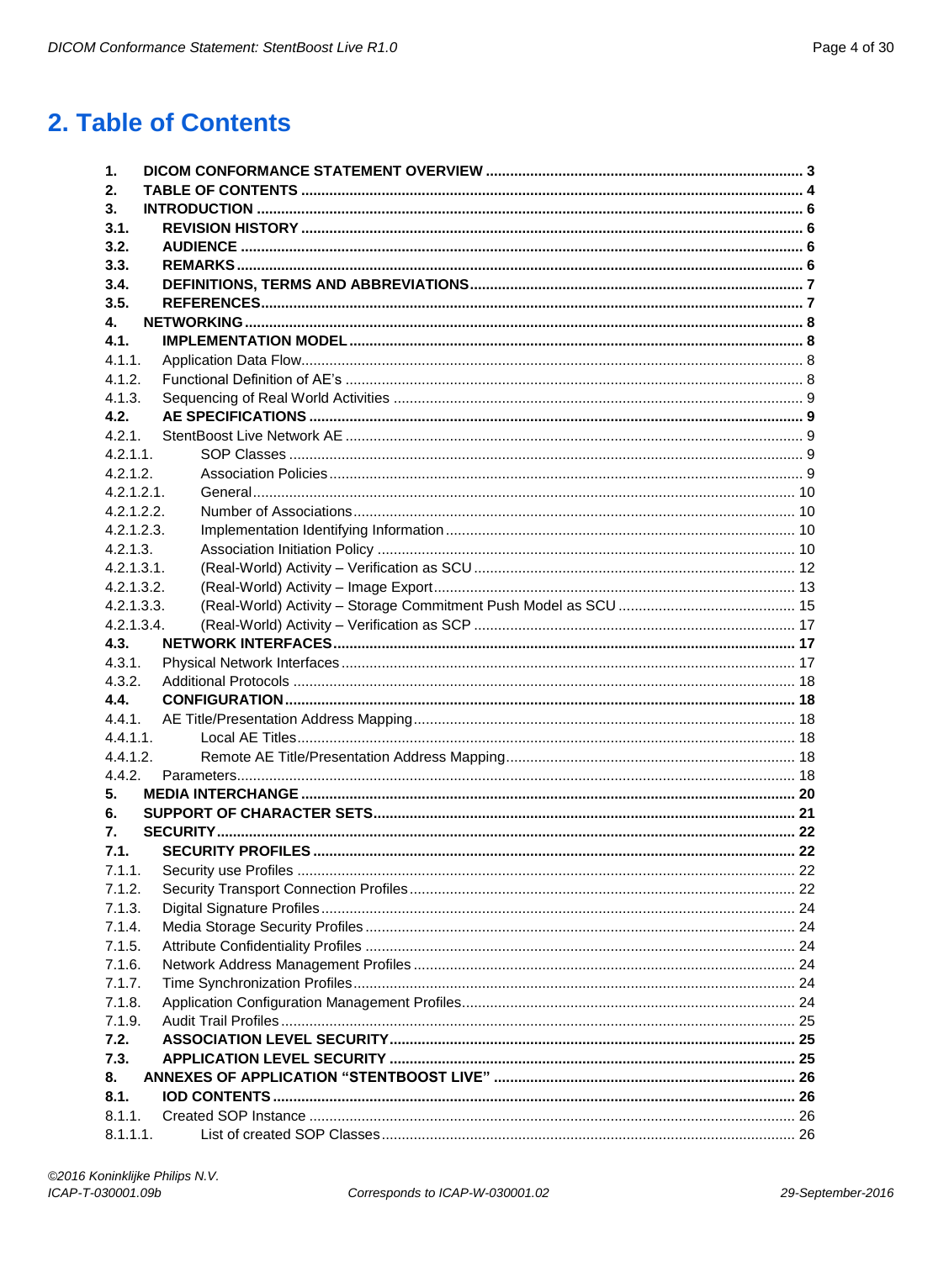# <span id="page-3-0"></span>2. Table of Contents

| 1.                     |  |
|------------------------|--|
| 2.                     |  |
| 3.                     |  |
| 3.1.                   |  |
| 3.2.                   |  |
| 3.3.                   |  |
| 3.4.                   |  |
| 3.5.                   |  |
| 4.                     |  |
| 4.1.                   |  |
| 4.1.1.                 |  |
| 4.1.2.                 |  |
| 4.1.3.                 |  |
| 4.2.                   |  |
| 4.2.1<br>$4.2.1.1$ .   |  |
|                        |  |
| 4.2.1.2.<br>4.2.1.2.1. |  |
| 4.2.1.2.2              |  |
| 4.2.1.2.3.             |  |
| 4.2.1.3.               |  |
| 4.2.1.3.1.             |  |
| 4.2.1.3.2.             |  |
| 4.2.1.3.3.             |  |
| 4.2.1.3.4.             |  |
| 4.3.                   |  |
| 4.3.1.                 |  |
| 4.3.2.                 |  |
| 4.4.                   |  |
| 4.4.1.                 |  |
| 4.4.1.1.               |  |
| 4.4.1.2.               |  |
| 4.4.2.                 |  |
| 5.                     |  |
| 6.                     |  |
| 7.                     |  |
| 7.1.                   |  |
| 7.1.1.                 |  |
| 7.1.2.                 |  |
| 7.1.3.                 |  |
| 7.1.4.                 |  |
| 7.1.5.                 |  |
| 7.1.6.                 |  |
| 7.1.7.                 |  |
| 7.1.8.                 |  |
| 7.1.9.                 |  |
| 7.2.                   |  |
| 7.3.                   |  |
| 8.                     |  |
| 8.1.                   |  |
| 8.1.1.                 |  |
| 8.1.1.1.               |  |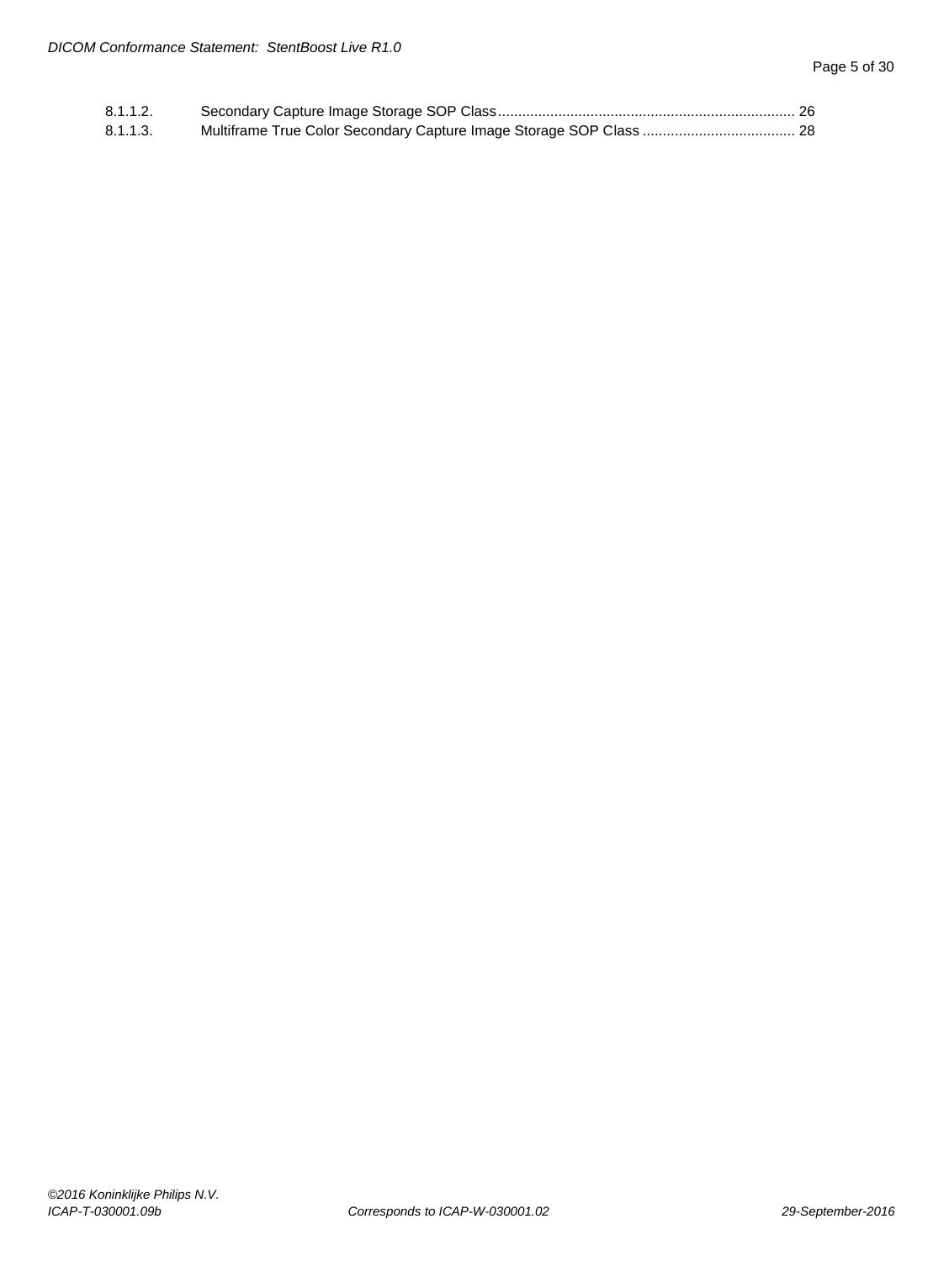| 8.1.1.2. |  |
|----------|--|
| 8.1.1.3. |  |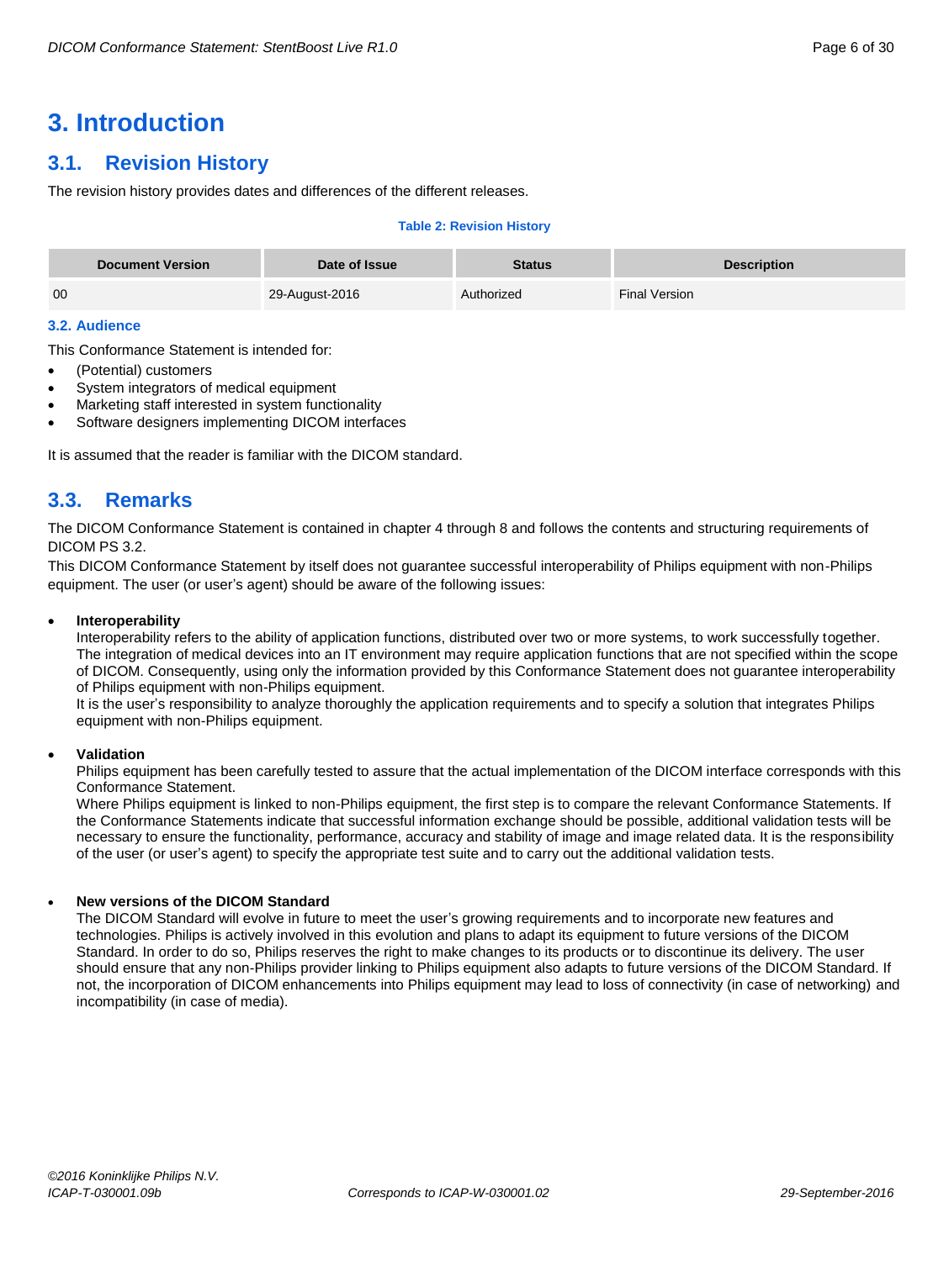# <span id="page-5-0"></span>**3. Introduction**

# <span id="page-5-1"></span>**3.1. Revision History**

The revision history provides dates and differences of the different releases.

#### **Table 2: Revision History**

| <b>Document Version</b> | Date of Issue  | <b>Status</b> | <b>Description</b>   |
|-------------------------|----------------|---------------|----------------------|
| 00                      | 29-August-2016 | Authorized    | <b>Final Version</b> |

#### <span id="page-5-2"></span>**3.2. Audience**

This Conformance Statement is intended for:

- (Potential) customers
- System integrators of medical equipment
- Marketing staff interested in system functionality
- Software designers implementing DICOM interfaces

It is assumed that the reader is familiar with the DICOM standard.

# <span id="page-5-3"></span>**3.3. Remarks**

The DICOM Conformance Statement is contained in chapter 4 through 8 and follows the contents and structuring requirements of DICOM PS 3.2.

This DICOM Conformance Statement by itself does not guarantee successful interoperability of Philips equipment with non-Philips equipment. The user (or user's agent) should be aware of the following issues:

#### **Interoperability**

Interoperability refers to the ability of application functions, distributed over two or more systems, to work successfully together. The integration of medical devices into an IT environment may require application functions that are not specified within the scope of DICOM. Consequently, using only the information provided by this Conformance Statement does not guarantee interoperability of Philips equipment with non-Philips equipment.

It is the user's responsibility to analyze thoroughly the application requirements and to specify a solution that integrates Philips equipment with non-Philips equipment.

#### **Validation**

Philips equipment has been carefully tested to assure that the actual implementation of the DICOM interface corresponds with this Conformance Statement.

Where Philips equipment is linked to non-Philips equipment, the first step is to compare the relevant Conformance Statements. If the Conformance Statements indicate that successful information exchange should be possible, additional validation tests will be necessary to ensure the functionality, performance, accuracy and stability of image and image related data. It is the responsibility of the user (or user's agent) to specify the appropriate test suite and to carry out the additional validation tests.

#### **New versions of the DICOM Standard**

The DICOM Standard will evolve in future to meet the user's growing requirements and to incorporate new features and technologies. Philips is actively involved in this evolution and plans to adapt its equipment to future versions of the DICOM Standard. In order to do so, Philips reserves the right to make changes to its products or to discontinue its delivery. The user should ensure that any non-Philips provider linking to Philips equipment also adapts to future versions of the DICOM Standard. If not, the incorporation of DICOM enhancements into Philips equipment may lead to loss of connectivity (in case of networking) and incompatibility (in case of media).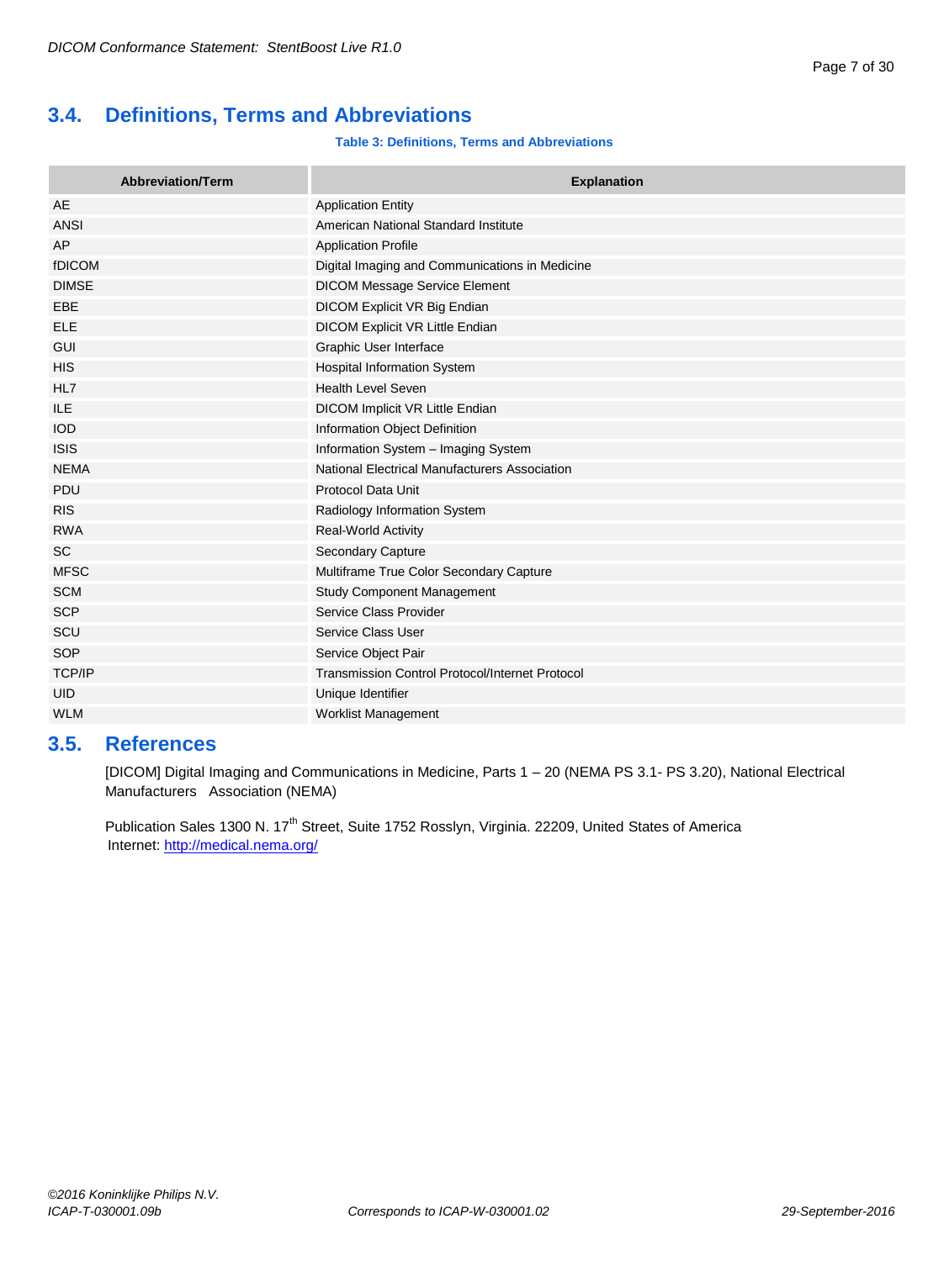# <span id="page-6-0"></span>**3.4. Definitions, Terms and Abbreviations**

#### **Table 3: Definitions, Terms and Abbreviations**

| <b>Abbreviation/Term</b> | <b>Explanation</b>                                     |
|--------------------------|--------------------------------------------------------|
| AE                       | <b>Application Entity</b>                              |
| <b>ANSI</b>              | American National Standard Institute                   |
| AP                       | <b>Application Profile</b>                             |
| fDICOM                   | Digital Imaging and Communications in Medicine         |
| <b>DIMSE</b>             | <b>DICOM Message Service Element</b>                   |
| EBE                      | DICOM Explicit VR Big Endian                           |
| <b>ELE</b>               | DICOM Explicit VR Little Endian                        |
| <b>GUI</b>               | Graphic User Interface                                 |
| <b>HIS</b>               | <b>Hospital Information System</b>                     |
| HL7                      | <b>Health Level Seven</b>                              |
| <b>ILE</b>               | DICOM Implicit VR Little Endian                        |
| <b>IOD</b>               | Information Object Definition                          |
| <b>ISIS</b>              | Information System - Imaging System                    |
| <b>NEMA</b>              | National Electrical Manufacturers Association          |
| <b>PDU</b>               | <b>Protocol Data Unit</b>                              |
| <b>RIS</b>               | Radiology Information System                           |
| <b>RWA</b>               | <b>Real-World Activity</b>                             |
| <b>SC</b>                | Secondary Capture                                      |
| <b>MFSC</b>              | Multiframe True Color Secondary Capture                |
| <b>SCM</b>               | <b>Study Component Management</b>                      |
| <b>SCP</b>               | Service Class Provider                                 |
| SCU                      | Service Class User                                     |
| <b>SOP</b>               | Service Object Pair                                    |
| <b>TCP/IP</b>            | <b>Transmission Control Protocol/Internet Protocol</b> |
| <b>UID</b>               | Unique Identifier                                      |
| <b>WLM</b>               | <b>Worklist Management</b>                             |

# <span id="page-6-1"></span>**3.5. References**

[DICOM] Digital Imaging and Communications in Medicine, Parts 1 – 20 (NEMA PS 3.1- PS 3.20), National Electrical Manufacturers Association (NEMA)

Publication Sales 1300 N. 17<sup>th</sup> Street, Suite 1752 Rosslyn, Virginia. 22209, United States of America Internet:<http://medical.nema.org/>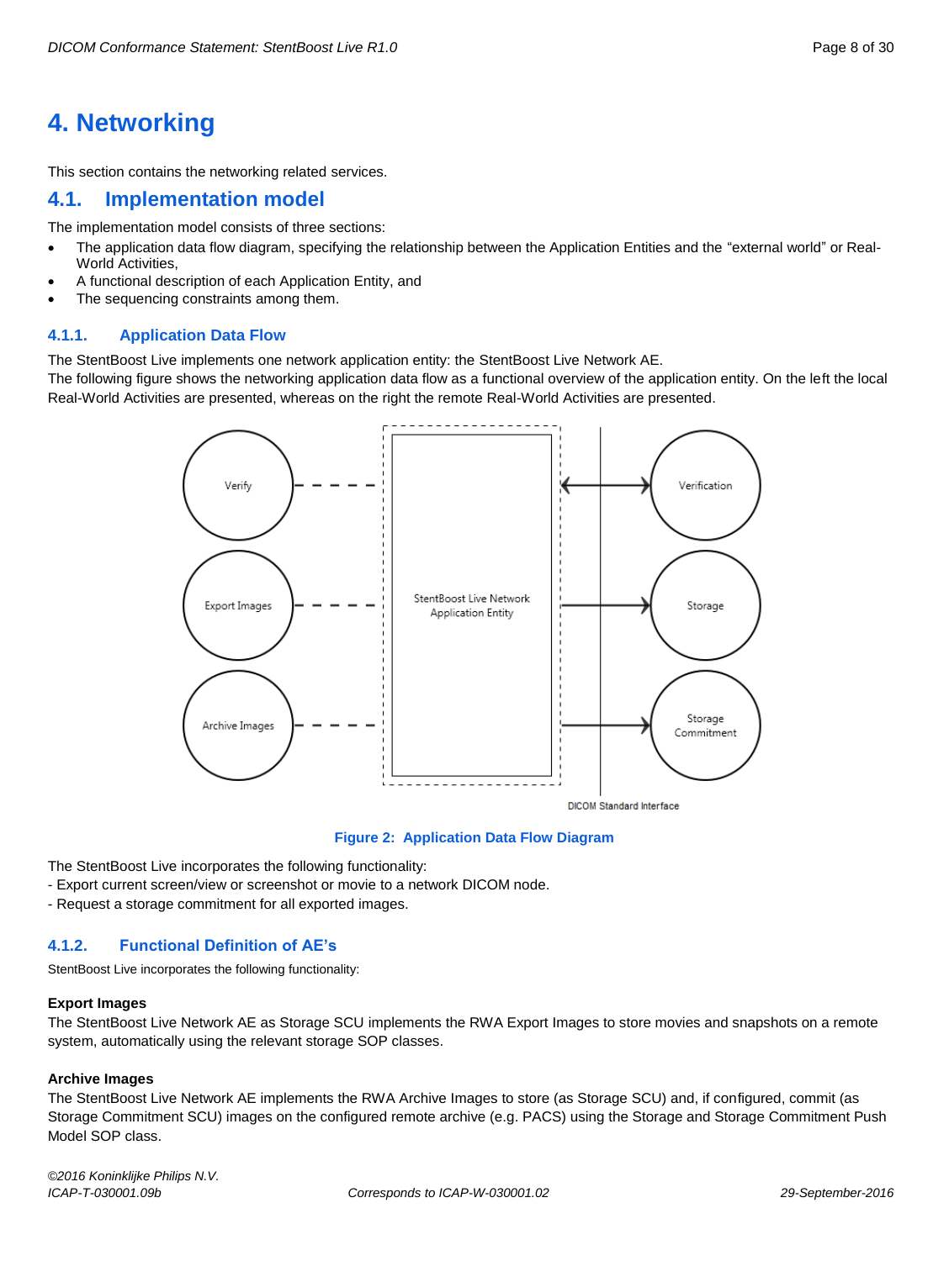# <span id="page-7-0"></span>**4. Networking**

This section contains the networking related services.

## <span id="page-7-1"></span>**4.1. Implementation model**

The implementation model consists of three sections:

- The application data flow diagram, specifying the relationship between the Application Entities and the "external world" or Real-World Activities,
- A functional description of each Application Entity, and
- The sequencing constraints among them.

#### <span id="page-7-2"></span>**4.1.1. Application Data Flow**

The StentBoost Live implements one network application entity: the StentBoost Live Network AE.

The following figure shows the networking application data flow as a functional overview of the application entity. On the left the local Real-World Activities are presented, whereas on the right the remote Real-World Activities are presented.



**Figure 2: Application Data Flow Diagram**

The StentBoost Live incorporates the following functionality:

- Export current screen/view or screenshot or movie to a network DICOM node.

- Request a storage commitment for all exported images.

#### <span id="page-7-3"></span>**4.1.2. Functional Definition of AE's**

StentBoost Live incorporates the following functionality:

#### **Export Images**

The StentBoost Live Network AE as Storage SCU implements the RWA Export Images to store movies and snapshots on a remote system, automatically using the relevant storage SOP classes.

#### **Archive Images**

The StentBoost Live Network AE implements the RWA Archive Images to store (as Storage SCU) and, if configured, commit (as Storage Commitment SCU) images on the configured remote archive (e.g. PACS) using the Storage and Storage Commitment Push Model SOP class.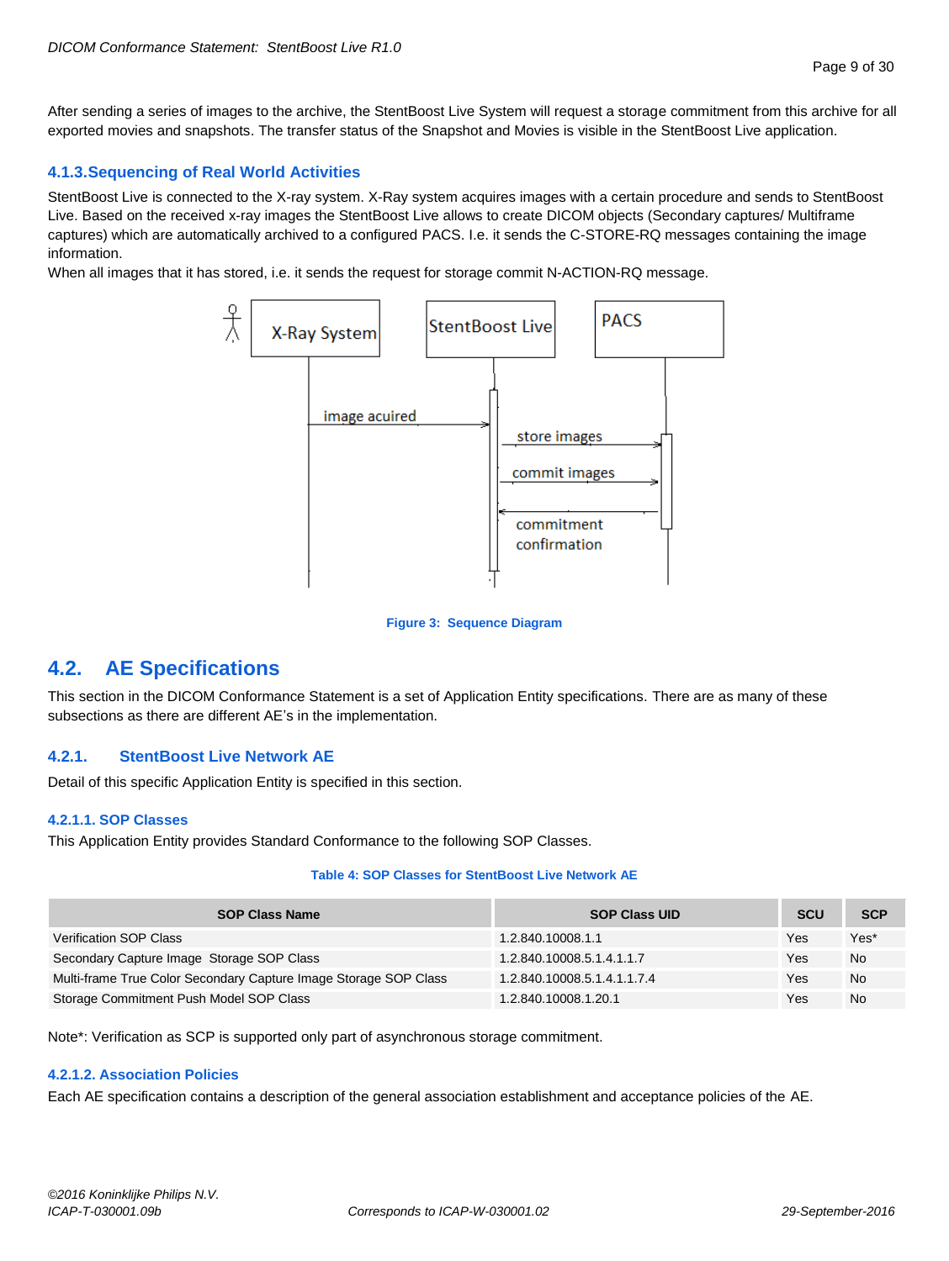After sending a series of images to the archive, the StentBoost Live System will request a storage commitment from this archive for all exported movies and snapshots. The transfer status of the Snapshot and Movies is visible in the StentBoost Live application.

#### <span id="page-8-0"></span>**4.1.3.Sequencing of Real World Activities**

StentBoost Live is connected to the X-ray system. X-Ray system acquires images with a certain procedure and sends to StentBoost Live. Based on the received x-ray images the StentBoost Live allows to create DICOM objects (Secondary captures/ Multiframe captures) which are automatically archived to a configured PACS. I.e. it sends the C-STORE-RQ messages containing the image information.

When all images that it has stored, i.e. it sends the request for storage commit N-ACTION-RQ message.



#### **Figure 3: Sequence Diagram**

# <span id="page-8-1"></span>**4.2. AE Specifications**

This section in the DICOM Conformance Statement is a set of Application Entity specifications. There are as many of these subsections as there are different AE's in the implementation.

#### <span id="page-8-2"></span>**4.2.1. StentBoost Live Network AE**

<span id="page-8-3"></span>Detail of this specific Application Entity is specified in this section.

#### **4.2.1.1. SOP Classes**

This Application Entity provides Standard Conformance to the following SOP Classes.

#### **Table 4: SOP Classes for StentBoost Live Network AE**

| <b>SOP Class Name</b>                                            | <b>SOP Class UID</b>        | <b>SCU</b> | <b>SCP</b> |
|------------------------------------------------------------------|-----------------------------|------------|------------|
| <b>Verification SOP Class</b>                                    | 1.2.840.10008.1.1           | Yes        | Yes*       |
| Secondary Capture Image Storage SOP Class                        | 1.2.840.10008.5.1.4.1.1.7   | Yes        | <b>No</b>  |
| Multi-frame True Color Secondary Capture Image Storage SOP Class | 1.2.840.10008.5.1.4.1.1.7.4 | Yes        | <b>No</b>  |
| Storage Commitment Push Model SOP Class                          | 1.2.840.10008.1.20.1        | Yes        | <b>No</b>  |

Note\*: Verification as SCP is supported only part of asynchronous storage commitment.

#### <span id="page-8-4"></span>**4.2.1.2. Association Policies**

Each AE specification contains a description of the general association establishment and acceptance policies of the AE.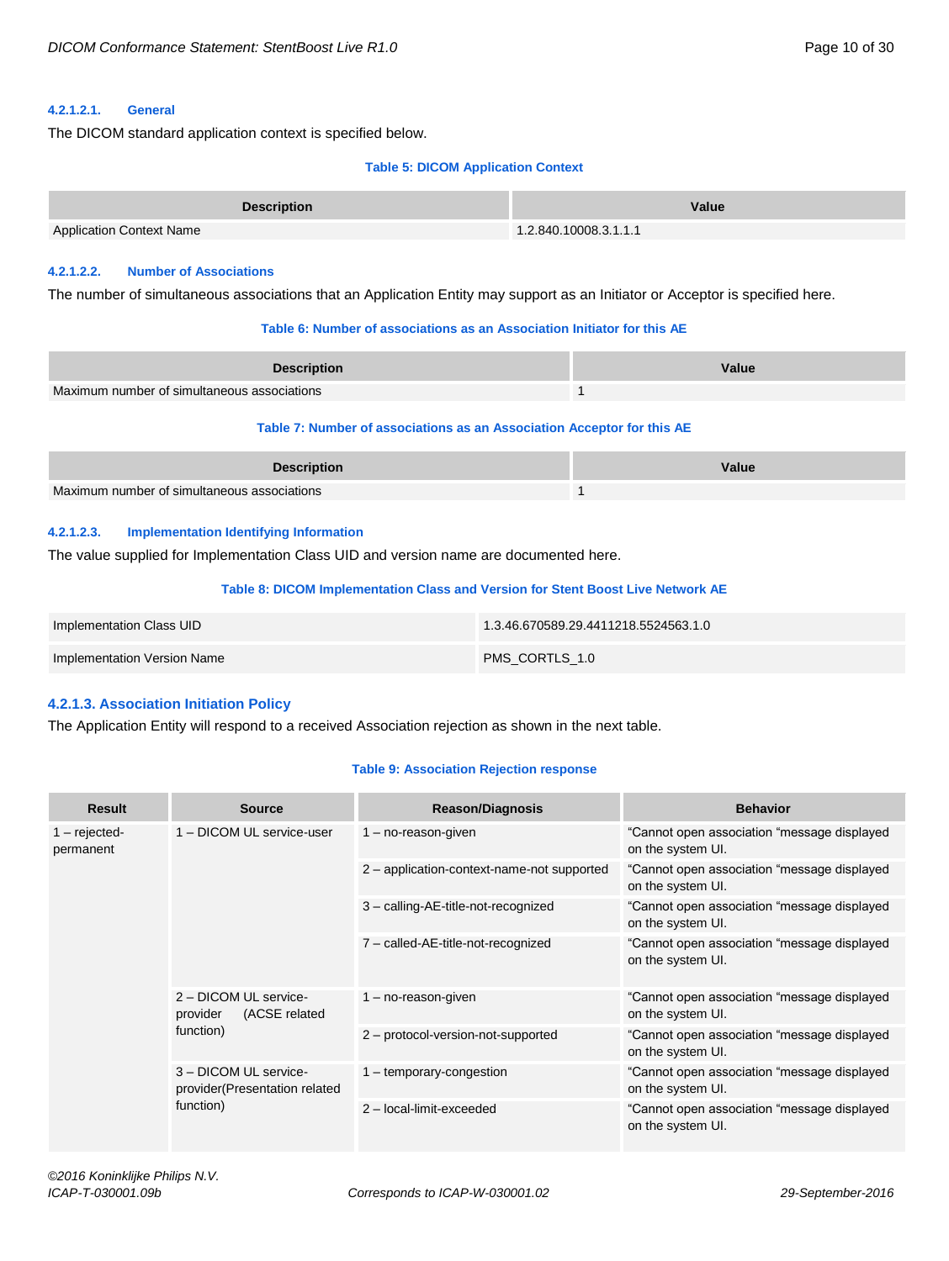#### <span id="page-9-0"></span>**4.2.1.2.1. General**

The DICOM standard application context is specified below.

#### **Table 5: DICOM Application Context**

| <b>Description</b>              | Value                 |
|---------------------------------|-----------------------|
| <b>Application Context Name</b> | 1.2.840.10008.3.1.1.1 |

#### <span id="page-9-1"></span>**4.2.1.2.2. Number of Associations**

The number of simultaneous associations that an Application Entity may support as an Initiator or Acceptor is specified here.

#### **Table 6: Number of associations as an Association Initiator for this AE**

| <b>Description</b>                          | Value |
|---------------------------------------------|-------|
| Maximum number of simultaneous associations |       |

#### **Table 7: Number of associations as an Association Acceptor for this AE**

| <b>Description</b>                          | Value |
|---------------------------------------------|-------|
| Maximum number of simultaneous associations |       |

#### <span id="page-9-2"></span>**4.2.1.2.3. Implementation Identifying Information**

The value supplied for Implementation Class UID and version name are documented here.

#### **Table 8: DICOM Implementation Class and Version for Stent Boost Live Network AE**

| Implementation Class UID    | 1.3.46.670589.29.4411218.5524563.1.0 |
|-----------------------------|--------------------------------------|
| Implementation Version Name | PMS CORTLS 1.0                       |

#### <span id="page-9-3"></span>**4.2.1.3. Association Initiation Policy**

The Application Entity will respond to a received Association rejection as shown in the next table.

#### **Table 9: Association Rejection response**

| <b>Result</b>                | <b>Source</b>                                                        | <b>Reason/Diagnosis</b>                    | <b>Behavior</b>                                                  |
|------------------------------|----------------------------------------------------------------------|--------------------------------------------|------------------------------------------------------------------|
| $1 -$ rejected-<br>permanent | 1 - DICOM UL service-user                                            | $1 - no$ -reason-given                     | "Cannot open association "message displayed<br>on the system UI. |
|                              |                                                                      | 2 - application-context-name-not supported | "Cannot open association "message displayed<br>on the system UI. |
|                              |                                                                      | 3 - calling-AE-title-not-recognized        | "Cannot open association "message displayed<br>on the system UI. |
|                              |                                                                      | 7 - called-AE-title-not-recognized         | "Cannot open association "message displayed<br>on the system UI. |
|                              | 2 - DICOM UL service-<br>(ACSE related<br>provider<br>function)      | $1 - no$ -reason-given                     | "Cannot open association "message displayed<br>on the system UI. |
|                              |                                                                      | 2 - protocol-version-not-supported         | "Cannot open association "message displayed<br>on the system UI. |
|                              | 3 - DICOM UL service-<br>provider (Presentation related<br>function) | 1 - temporary-congestion                   | "Cannot open association "message displayed<br>on the system UI. |
|                              |                                                                      | 2 - local-limit-exceeded                   | "Cannot open association "message displayed<br>on the system UI. |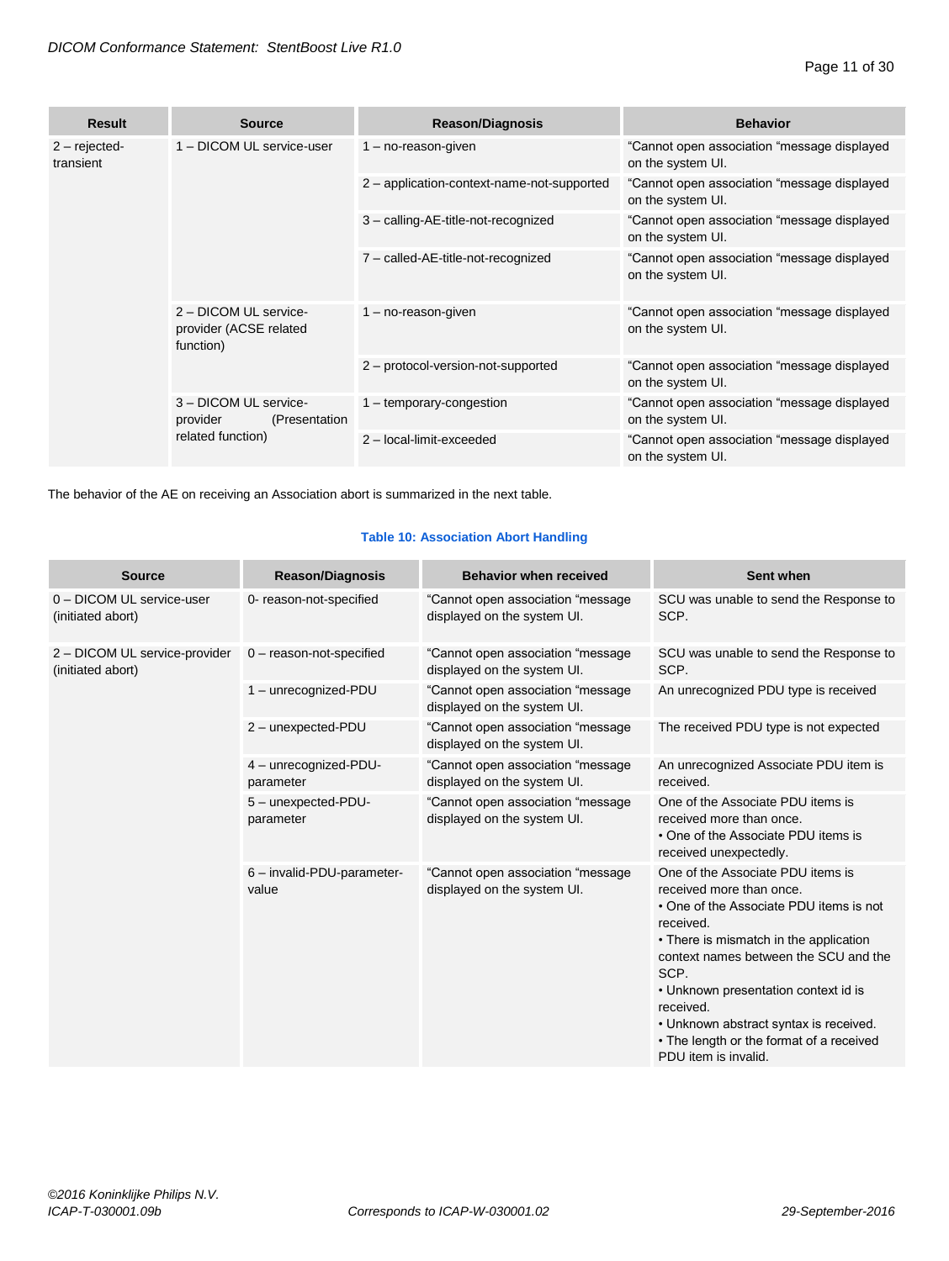| <b>Result</b>               | <b>Source</b>                                                            | <b>Reason/Diagnosis</b>                    | <b>Behavior</b>                                                   |
|-----------------------------|--------------------------------------------------------------------------|--------------------------------------------|-------------------------------------------------------------------|
| $2 - rejected$<br>transient | 1 - DICOM UL service-user                                                | $1 - no$ -reason-given                     | "Cannot open association "message displayed<br>on the system UI.  |
|                             |                                                                          | 2 - application-context-name-not-supported | "Cannot open association "message displayed<br>on the system UI.  |
|                             |                                                                          | 3 - calling-AE-title-not-recognized        | "Cannot open association "message displayed<br>on the system UI.  |
|                             |                                                                          | 7 - called-AE-title-not-recognized         | "Cannot open association "message displayed<br>on the system UI.  |
|                             | 2 - DICOM UL service-<br>provider (ACSE related<br>function)             | $1 - no$ -reason-given                     | "Cannot open association "message displayed"<br>on the system UI. |
|                             |                                                                          | 2 - protocol-version-not-supported         | "Cannot open association "message displayed<br>on the system UI.  |
|                             | 3 - DICOM UL service-<br>provider<br>(Presentation)<br>related function) | 1 - temporary-congestion                   | "Cannot open association "message displayed<br>on the system UI.  |
|                             |                                                                          | 2 - local-limit-exceeded                   | "Cannot open association "message displayed<br>on the system UI.  |

The behavior of the AE on receiving an Association abort is summarized in the next table.

#### **Table 10: Association Abort Handling**

| <b>Source</b>                                      | <b>Reason/Diagnosis</b>             | <b>Behavior when received</b>                                    | Sent when                                                                                                                                                                                                                                                                                                                                                                           |
|----------------------------------------------------|-------------------------------------|------------------------------------------------------------------|-------------------------------------------------------------------------------------------------------------------------------------------------------------------------------------------------------------------------------------------------------------------------------------------------------------------------------------------------------------------------------------|
| 0 - DICOM UL service-user<br>(initiated abort)     | 0- reason-not-specified             | "Cannot open association "message<br>displayed on the system UI. | SCU was unable to send the Response to<br>SCP.                                                                                                                                                                                                                                                                                                                                      |
| 2 - DICOM UL service-provider<br>(initiated abort) | $0$ – reason-not-specified          | "Cannot open association "message<br>displayed on the system UI. | SCU was unable to send the Response to<br>SCP.                                                                                                                                                                                                                                                                                                                                      |
|                                                    | 1 - unrecognized-PDU                | "Cannot open association "message<br>displayed on the system UI. | An unrecognized PDU type is received                                                                                                                                                                                                                                                                                                                                                |
|                                                    | 2 - unexpected-PDU                  | "Cannot open association "message<br>displayed on the system UI. | The received PDU type is not expected                                                                                                                                                                                                                                                                                                                                               |
|                                                    | 4 - unrecognized-PDU-<br>parameter  | "Cannot open association "message<br>displayed on the system UI. | An unrecognized Associate PDU item is<br>received.                                                                                                                                                                                                                                                                                                                                  |
|                                                    | 5 - unexpected-PDU-<br>parameter    | "Cannot open association "message<br>displayed on the system UI. | One of the Associate PDU items is<br>received more than once.<br>• One of the Associate PDU items is<br>received unexpectedly.                                                                                                                                                                                                                                                      |
|                                                    | 6 - invalid-PDU-parameter-<br>value | "Cannot open association "message<br>displayed on the system UI. | One of the Associate PDU items is<br>received more than once.<br>• One of the Associate PDU items is not<br>received.<br>• There is mismatch in the application<br>context names between the SCU and the<br>SCP.<br>• Unknown presentation context id is<br>received.<br>• Unknown abstract syntax is received.<br>• The length or the format of a received<br>PDU item is invalid. |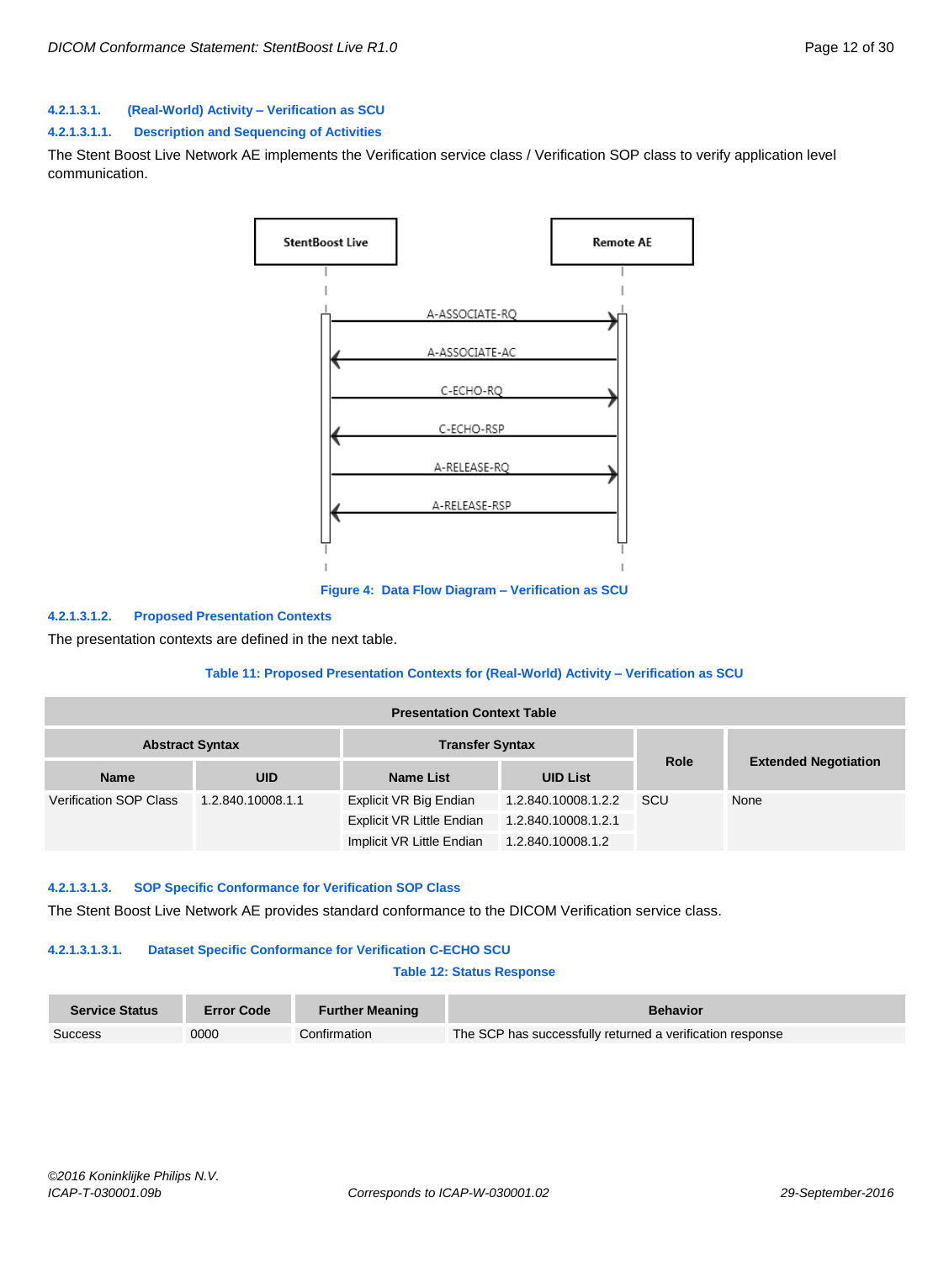#### <span id="page-11-0"></span>**4.2.1.3.1. (Real-World) Activity – Verification as SCU**

#### **4.2.1.3.1.1. Description and Sequencing of Activities**

The Stent Boost Live Network AE implements the Verification service class / Verification SOP class to verify application level communication.



**Figure 4: Data Flow Diagram – Verification as SCU**

#### **4.2.1.3.1.2. Proposed Presentation Contexts**

The presentation contexts are defined in the next table.

#### **Table 11: Proposed Presentation Contexts for (Real-World) Activity – Verification as SCU**

| <b>Presentation Context Table</b>                |                   |                           |                     |      |                             |
|--------------------------------------------------|-------------------|---------------------------|---------------------|------|-----------------------------|
| <b>Transfer Syntax</b><br><b>Abstract Syntax</b> |                   |                           |                     |      |                             |
| <b>Name</b>                                      | <b>UID</b>        | <b>Name List</b>          | <b>UID List</b>     | Role | <b>Extended Negotiation</b> |
| <b>Verification SOP Class</b>                    | 1.2.840.10008.1.1 | Explicit VR Big Endian    | 1.2.840.10008.1.2.2 | SCU  | None                        |
|                                                  |                   | Explicit VR Little Endian | 1.2.840.10008.1.2.1 |      |                             |
|                                                  |                   | Implicit VR Little Endian | 1.2.840.10008.1.2   |      |                             |

#### **4.2.1.3.1.3. SOP Specific Conformance for Verification SOP Class**

The Stent Boost Live Network AE provides standard conformance to the DICOM Verification service class.

#### **4.2.1.3.1.3.1. Dataset Specific Conformance for Verification C-ECHO SCU**

#### **Table 12: Status Response**

| <b>Service Status</b> | <b>Error Code</b> | <b>Further Meaning</b> | <b>Behavior</b>                                           |
|-----------------------|-------------------|------------------------|-----------------------------------------------------------|
| Success               | 0000              | Confirmation           | The SCP has successfully returned a verification response |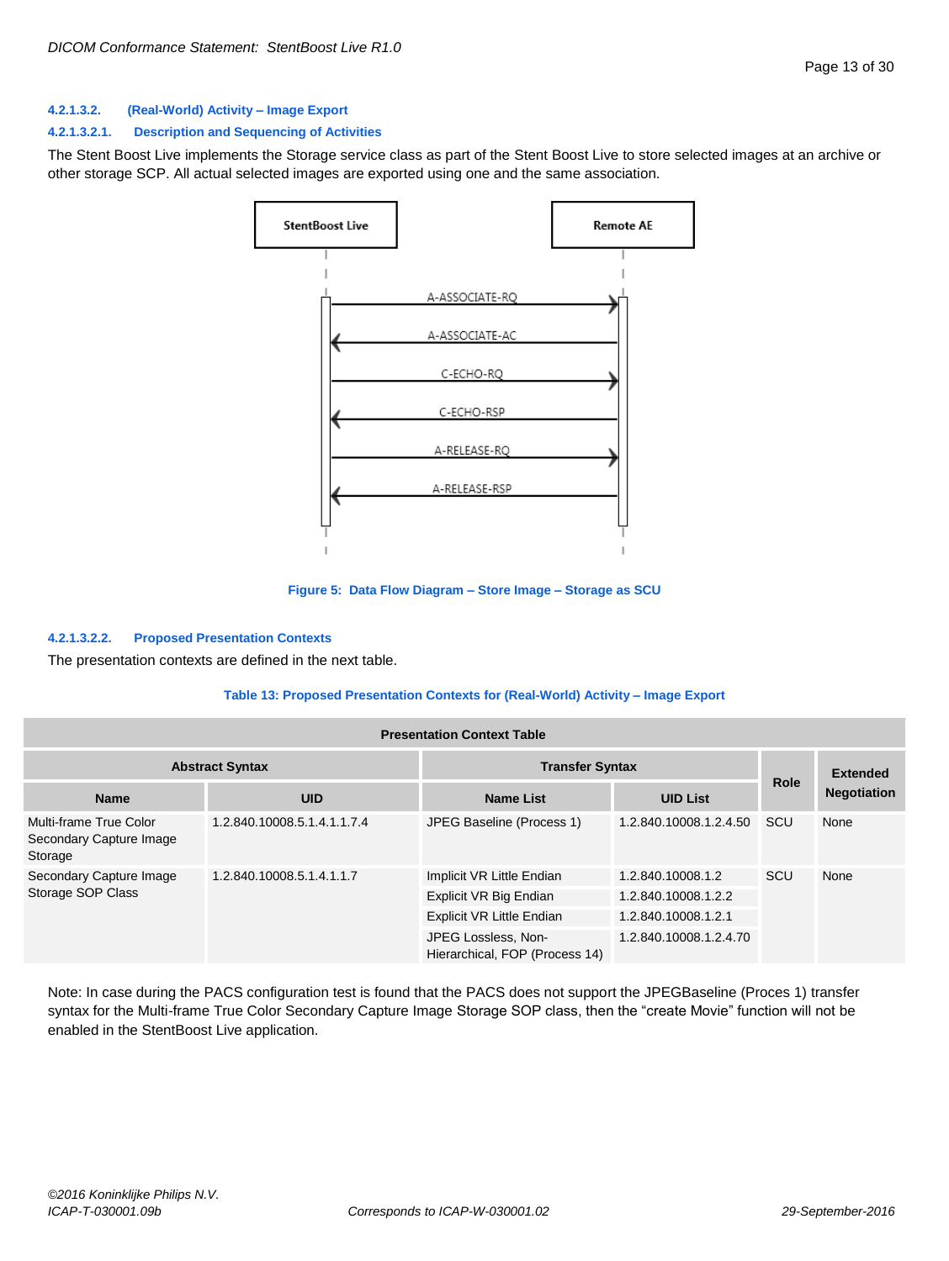#### <span id="page-12-0"></span>**4.2.1.3.2. (Real-World) Activity – Image Export**

#### **4.2.1.3.2.1. Description and Sequencing of Activities**

The Stent Boost Live implements the Storage service class as part of the Stent Boost Live to store selected images at an archive or other storage SCP. All actual selected images are exported using one and the same association.



**Figure 5: Data Flow Diagram – Store Image – Storage as SCU**

#### **4.2.1.3.2.2. Proposed Presentation Contexts**

The presentation contexts are defined in the next table.

#### **Table 13: Proposed Presentation Contexts for (Real-World) Activity – Image Export**

| <b>Presentation Context Table</b>                            |                             |                                                       |                        |                 |                    |
|--------------------------------------------------------------|-----------------------------|-------------------------------------------------------|------------------------|-----------------|--------------------|
| <b>Abstract Syntax</b><br><b>Transfer Syntax</b>             |                             |                                                       |                        | <b>Extended</b> |                    |
| <b>Name</b>                                                  | <b>UID</b>                  | <b>Name List</b>                                      | <b>UID List</b>        | <b>Role</b>     | <b>Negotiation</b> |
| Multi-frame True Color<br>Secondary Capture Image<br>Storage | 1.2.840.10008.5.1.4.1.1.7.4 | JPEG Baseline (Process 1)                             | 1.2.840.10008.1.2.4.50 | <b>SCU</b>      | None               |
| Secondary Capture Image<br>Storage SOP Class                 | 1.2.840.10008.5.1.4.1.1.7   | Implicit VR Little Endian                             | 1.2.840.10008.1.2      | SCU             | None               |
|                                                              |                             | Explicit VR Big Endian                                | 1.2.840.10008.1.2.2    |                 |                    |
|                                                              |                             | <b>Explicit VR Little Endian</b>                      | 1.2.840.10008.1.2.1    |                 |                    |
|                                                              |                             | JPEG Lossless, Non-<br>Hierarchical, FOP (Process 14) | 1.2.840.10008.1.2.4.70 |                 |                    |

Note: In case during the PACS configuration test is found that the PACS does not support the JPEGBaseline (Proces 1) transfer syntax for the Multi-frame True Color Secondary Capture Image Storage SOP class, then the "create Movie" function will not be enabled in the StentBoost Live application.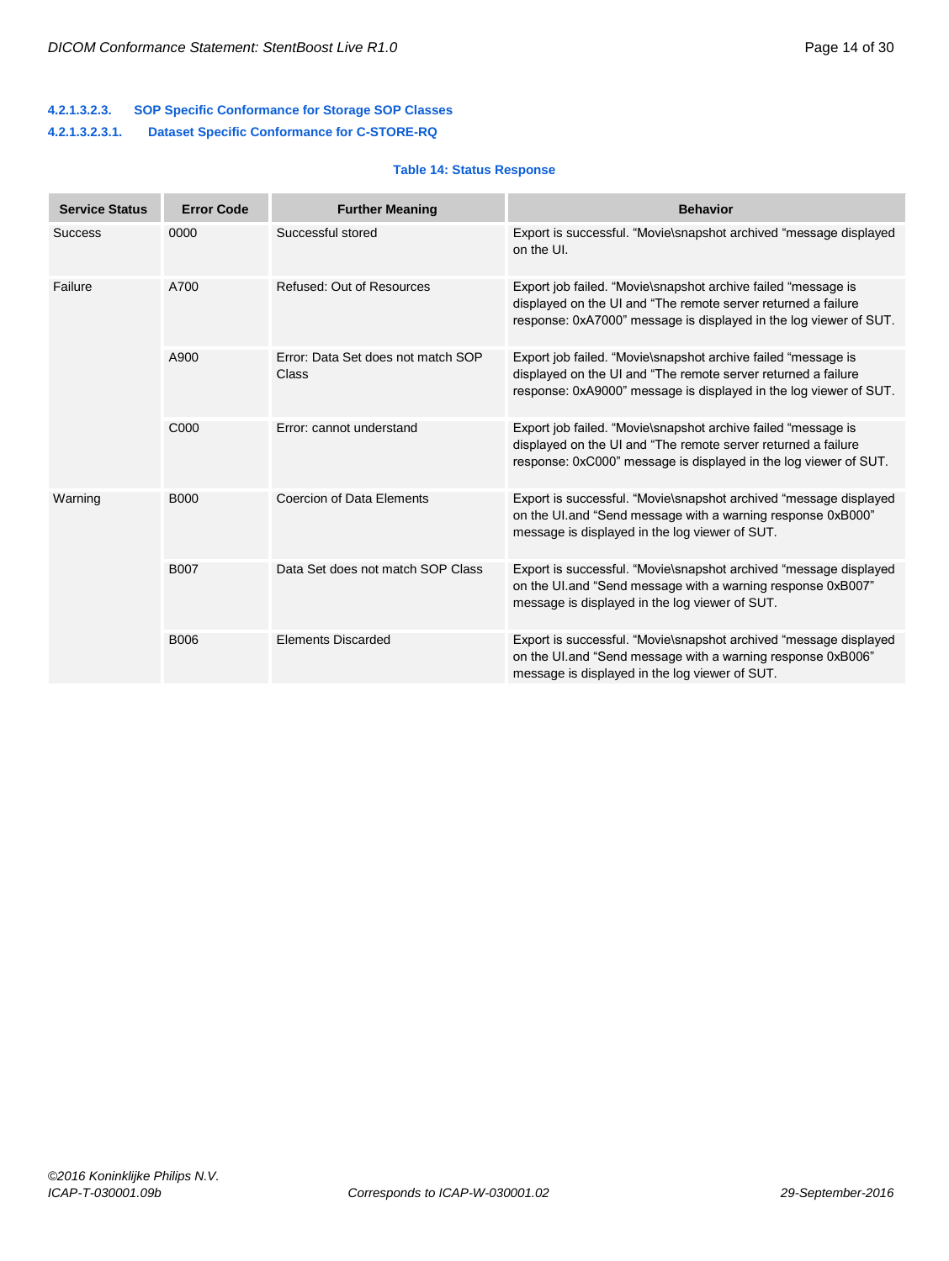#### **4.2.1.3.2.3. SOP Specific Conformance for Storage SOP Classes 4.2.1.3.2.3.1. Dataset Specific Conformance for C-STORE-RQ**

#### **Table 14: Status Response**

| <b>Service Status</b> | <b>Error Code</b> | <b>Further Meaning</b>                             | <b>Behavior</b>                                                                                                                                                                                      |
|-----------------------|-------------------|----------------------------------------------------|------------------------------------------------------------------------------------------------------------------------------------------------------------------------------------------------------|
| <b>Success</b>        | 0000              | Successful stored                                  | Export is successful. "Movie\snapshot archived "message displayed<br>on the UI.                                                                                                                      |
| Failure               | A700              | Refused: Out of Resources                          | Export job failed. "Movie\snapshot archive failed "message is<br>displayed on the UI and "The remote server returned a failure"<br>response: 0xA7000" message is displayed in the log viewer of SUT. |
|                       | A900              | Error: Data Set does not match SOP<br><b>Class</b> | Export job failed. "Movie\snapshot archive failed "message is<br>displayed on the UI and "The remote server returned a failure"<br>response: 0xA9000" message is displayed in the log viewer of SUT. |
|                       | C000              | Error: cannot understand                           | Export job failed. "Movie\snapshot archive failed "message is<br>displayed on the UI and "The remote server returned a failure<br>response: 0xC000" message is displayed in the log viewer of SUT.   |
| Warning               | <b>B000</b>       | <b>Coercion of Data Elements</b>                   | Export is successful. "Movie\snapshot archived "message displayed<br>on the UI.and "Send message with a warning response 0xB000"<br>message is displayed in the log viewer of SUT.                   |
|                       | <b>B007</b>       | Data Set does not match SOP Class                  | Export is successful. "Movie\snapshot archived "message displayed<br>on the UI and "Send message with a warning response 0xB007"<br>message is displayed in the log viewer of SUT.                   |
|                       | <b>B006</b>       | <b>Elements Discarded</b>                          | Export is successful. "Movie\snapshot archived "message displayed<br>on the UI.and "Send message with a warning response 0xB006"<br>message is displayed in the log viewer of SUT.                   |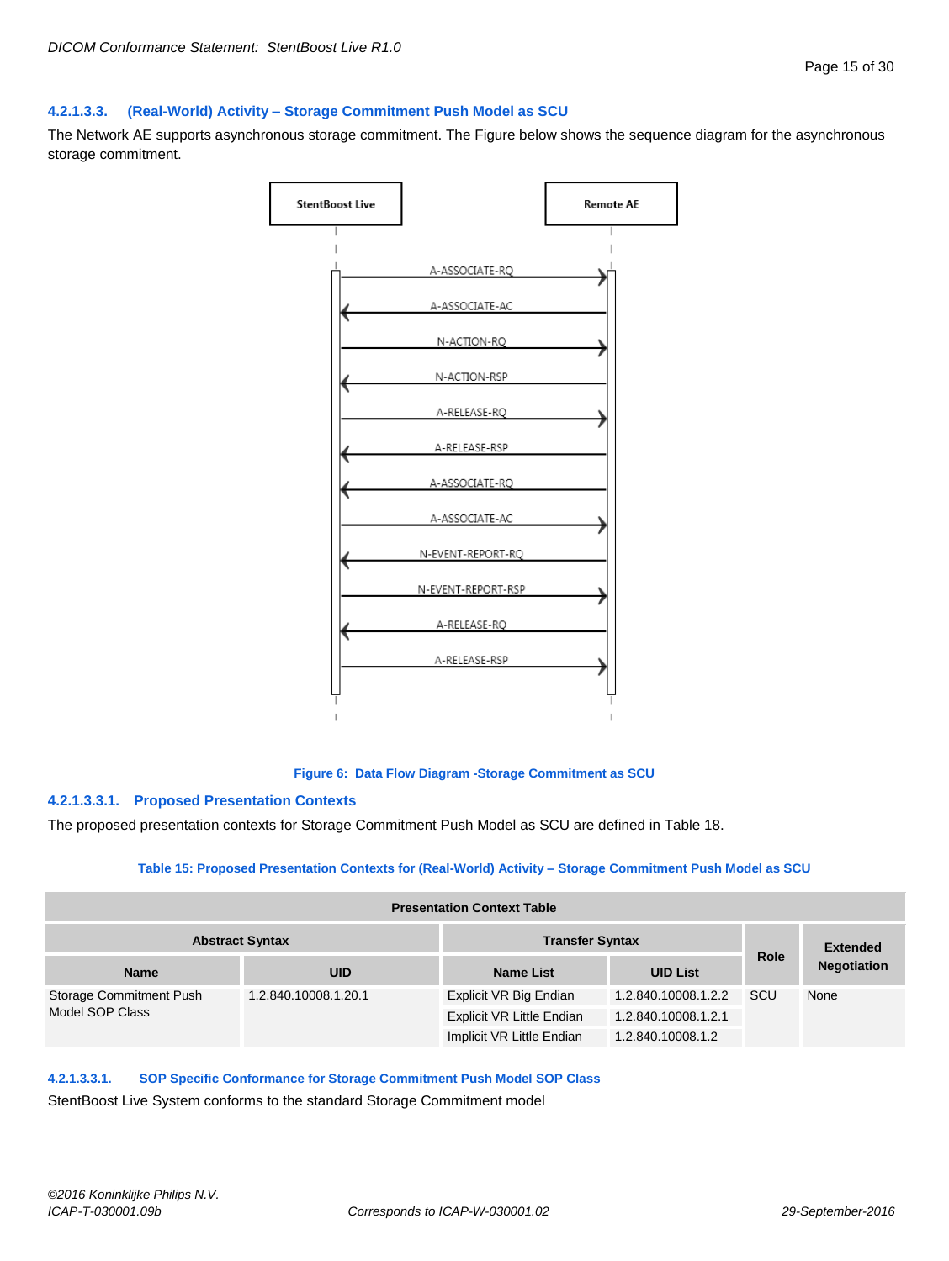#### <span id="page-14-0"></span>**4.2.1.3.3. (Real-World) Activity – Storage Commitment Push Model as SCU**

The Network AE supports asynchronous storage commitment. The Figure below shows the sequence diagram for the asynchronous storage commitment.



#### **Figure 6: Data Flow Diagram -Storage Commitment as SCU**

#### **4.2.1.3.3.1. Proposed Presentation Contexts**

The proposed presentation contexts for Storage Commitment Push Model as SCU are defined in Table 18.

#### **Table 15: Proposed Presentation Contexts for (Real-World) Activity – Storage Commitment Push Model as SCU**

| <b>Presentation Context Table</b>                |                      |                                  |                     |                 |                    |
|--------------------------------------------------|----------------------|----------------------------------|---------------------|-----------------|--------------------|
| <b>Abstract Syntax</b><br><b>Transfer Syntax</b> |                      |                                  |                     | <b>Extended</b> |                    |
| <b>Name</b>                                      | <b>UID</b>           | <b>Name List</b>                 | <b>UID List</b>     | <b>Role</b>     | <b>Negotiation</b> |
| Storage Commitment Push<br>Model SOP Class       | 1.2.840.10008.1.20.1 | Explicit VR Big Endian           | 1.2.840.10008.1.2.2 | SCU             | None               |
|                                                  |                      | <b>Explicit VR Little Endian</b> | 1.2.840.10008.1.2.1 |                 |                    |
|                                                  |                      | Implicit VR Little Endian        | 1.2.840.10008.1.2   |                 |                    |

#### **4.2.1.3.3.1. SOP Specific Conformance for Storage Commitment Push Model SOP Class**

StentBoost Live System conforms to the standard Storage Commitment model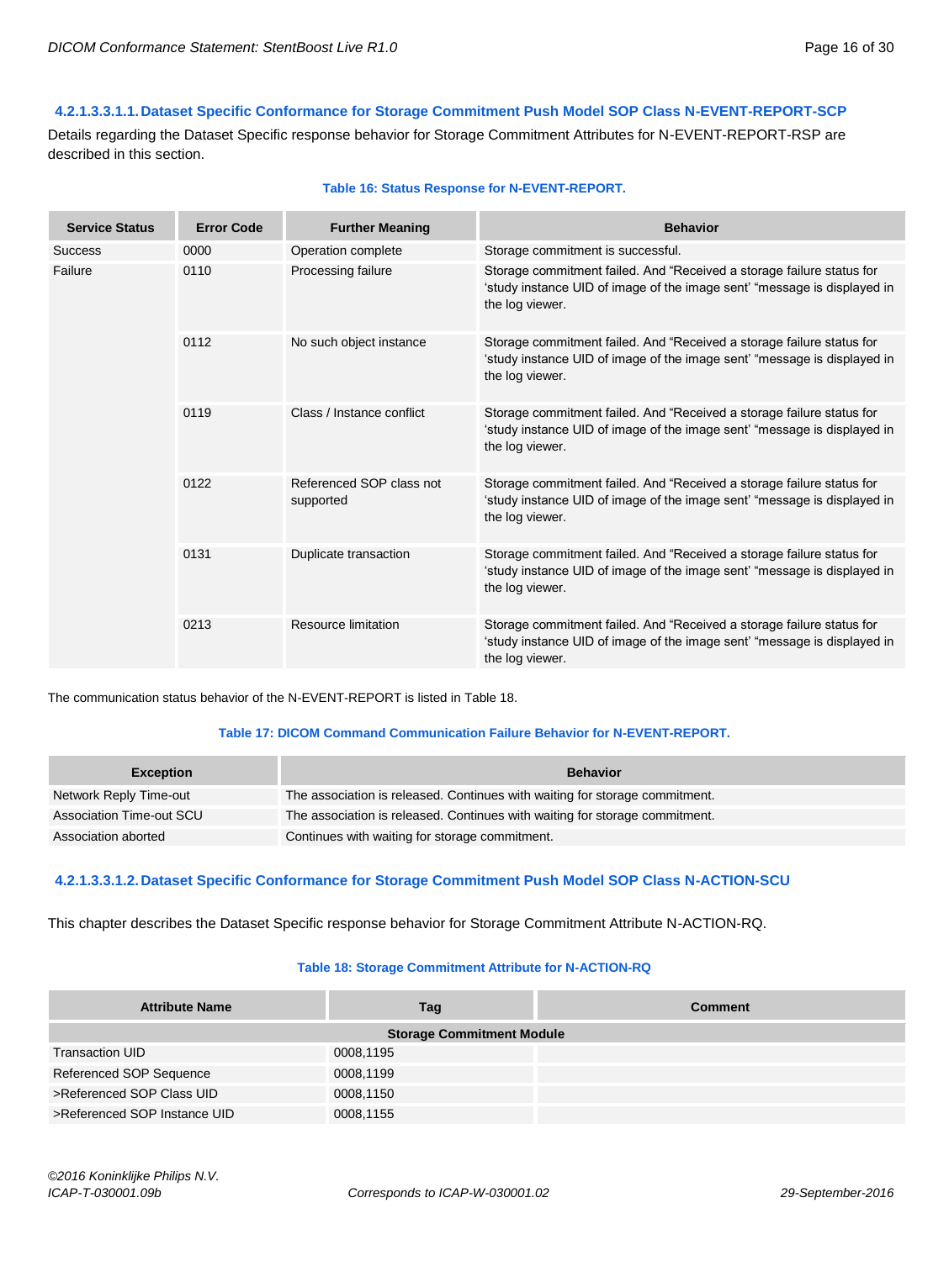#### **4.2.1.3.3.1.1.Dataset Specific Conformance for Storage Commitment Push Model SOP Class N-EVENT-REPORT-SCP**

Details regarding the Dataset Specific response behavior for Storage Commitment Attributes for N-EVENT-REPORT-RSP are described in this section.

| <b>Service Status</b> | <b>Error Code</b> | <b>Further Meaning</b>                | <b>Behavior</b>                                                                                                                                                      |
|-----------------------|-------------------|---------------------------------------|----------------------------------------------------------------------------------------------------------------------------------------------------------------------|
| <b>Success</b>        | 0000              | Operation complete                    | Storage commitment is successful.                                                                                                                                    |
| Failure               | 0110              | Processing failure                    | Storage commitment failed. And "Received a storage failure status for<br>'study instance UID of image of the image sent' "message is displayed in<br>the log viewer. |
|                       | 0112              | No such object instance               | Storage commitment failed. And "Received a storage failure status for<br>'study instance UID of image of the image sent' "message is displayed in<br>the log viewer. |
|                       | 0119              | Class / Instance conflict             | Storage commitment failed. And "Received a storage failure status for<br>'study instance UID of image of the image sent' "message is displayed in<br>the log viewer. |
|                       | 0122              | Referenced SOP class not<br>supported | Storage commitment failed. And "Received a storage failure status for<br>'study instance UID of image of the image sent' "message is displayed in<br>the log viewer. |
|                       | 0131              | Duplicate transaction                 | Storage commitment failed. And "Received a storage failure status for<br>'study instance UID of image of the image sent' "message is displayed in<br>the log viewer. |
|                       | 0213              | Resource limitation                   | Storage commitment failed. And "Received a storage failure status for<br>'study instance UID of image of the image sent' "message is displayed in<br>the log viewer. |

#### **Table 16: Status Response for N-EVENT-REPORT.**

The communication status behavior of the N-EVENT-REPORT is listed in Table 18.

#### **Table 17: DICOM Command Communication Failure Behavior for N-EVENT-REPORT.**

| <b>Exception</b>         | <b>Behavior</b>                                                             |
|--------------------------|-----------------------------------------------------------------------------|
| Network Reply Time-out   | The association is released. Continues with waiting for storage commitment. |
| Association Time-out SCU | The association is released. Continues with waiting for storage commitment. |
| Association aborted      | Continues with waiting for storage commitment.                              |

#### **4.2.1.3.3.1.2.Dataset Specific Conformance for Storage Commitment Push Model SOP Class N-ACTION-SCU**

This chapter describes the Dataset Specific response behavior for Storage Commitment Attribute N-ACTION-RQ.

#### **Table 18: Storage Commitment Attribute for N-ACTION-RQ**

| <b>Attribute Name</b>        | Tag                              | <b>Comment</b> |
|------------------------------|----------------------------------|----------------|
|                              | <b>Storage Commitment Module</b> |                |
| <b>Transaction UID</b>       | 0008,1195                        |                |
| Referenced SOP Sequence      | 0008,1199                        |                |
| >Referenced SOP Class UID    | 0008,1150                        |                |
| >Referenced SOP Instance UID | 0008,1155                        |                |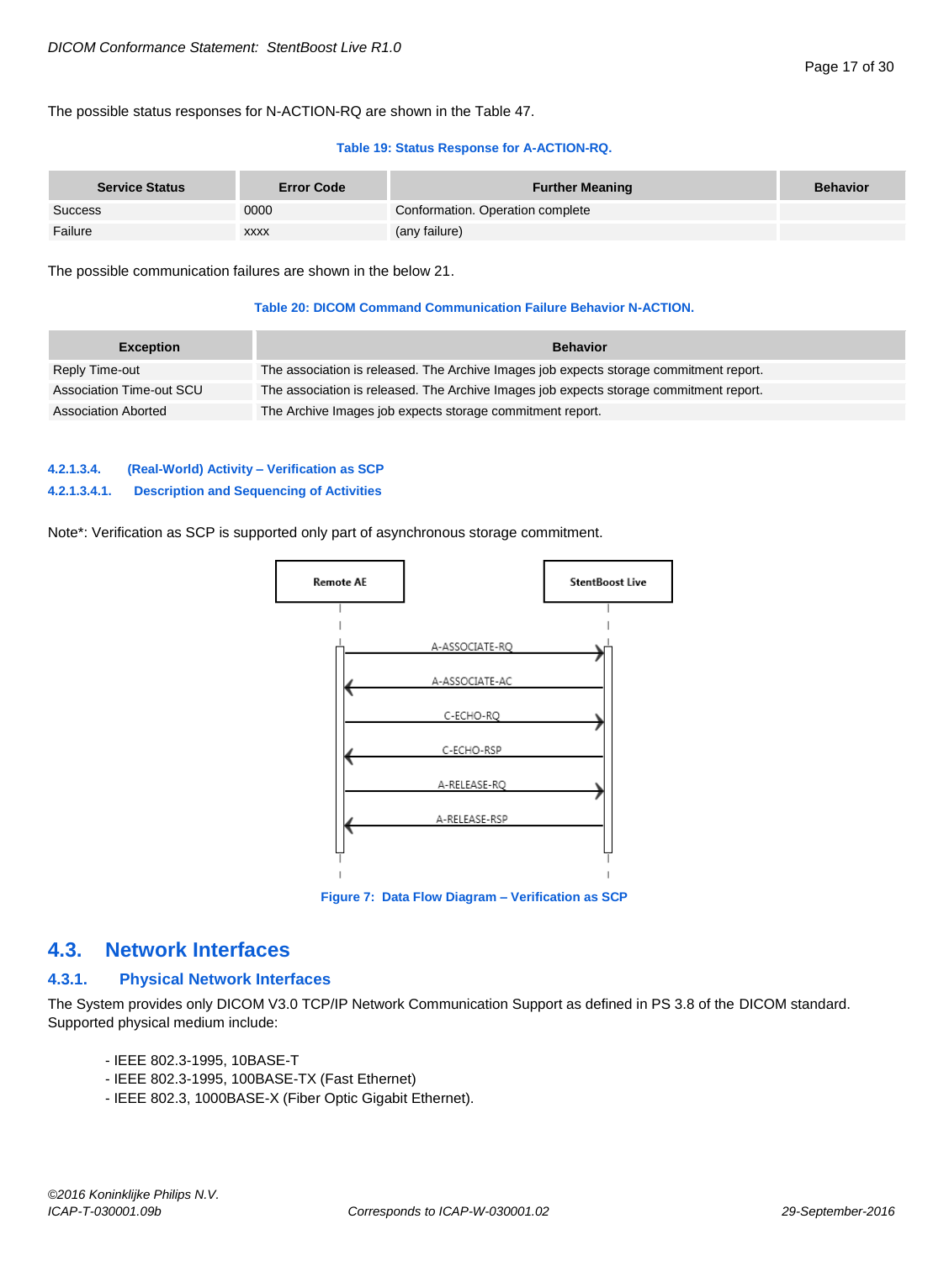The possible status responses for N-ACTION-RQ are shown in the Table 47.

#### **Table 19: Status Response for A-ACTION-RQ.**

| <b>Service Status</b> | <b>Error Code</b> | <b>Further Meaning</b>           | <b>Behavior</b> |
|-----------------------|-------------------|----------------------------------|-----------------|
| Success               | 0000              | Conformation. Operation complete |                 |
| Failure               | <b>XXXX</b>       | (any failure)                    |                 |

The possible communication failures are shown in the below 21.

#### **Table 20: DICOM Command Communication Failure Behavior N-ACTION.**

| <b>Exception</b>         | <b>Behavior</b>                                                                        |
|--------------------------|----------------------------------------------------------------------------------------|
| Reply Time-out           | The association is released. The Archive Images job expects storage commitment report. |
| Association Time-out SCU | The association is released. The Archive Images job expects storage commitment report. |
| Association Aborted      | The Archive Images job expects storage commitment report.                              |

#### <span id="page-16-0"></span>**4.2.1.3.4. (Real-World) Activity – Verification as SCP**

#### **4.2.1.3.4.1. Description and Sequencing of Activities**

Note\*: Verification as SCP is supported only part of asynchronous storage commitment.



**Figure 7: Data Flow Diagram – Verification as SCP**

### <span id="page-16-1"></span>**4.3. Network Interfaces**

#### <span id="page-16-2"></span>**4.3.1. Physical Network Interfaces**

The System provides only DICOM V3.0 TCP/IP Network Communication Support as defined in PS 3.8 of the DICOM standard. Supported physical medium include:

- IEEE 802.3-1995, 10BASE-T
- IEEE 802.3-1995, 100BASE-TX (Fast Ethernet)
- IEEE 802.3, 1000BASE-X (Fiber Optic Gigabit Ethernet).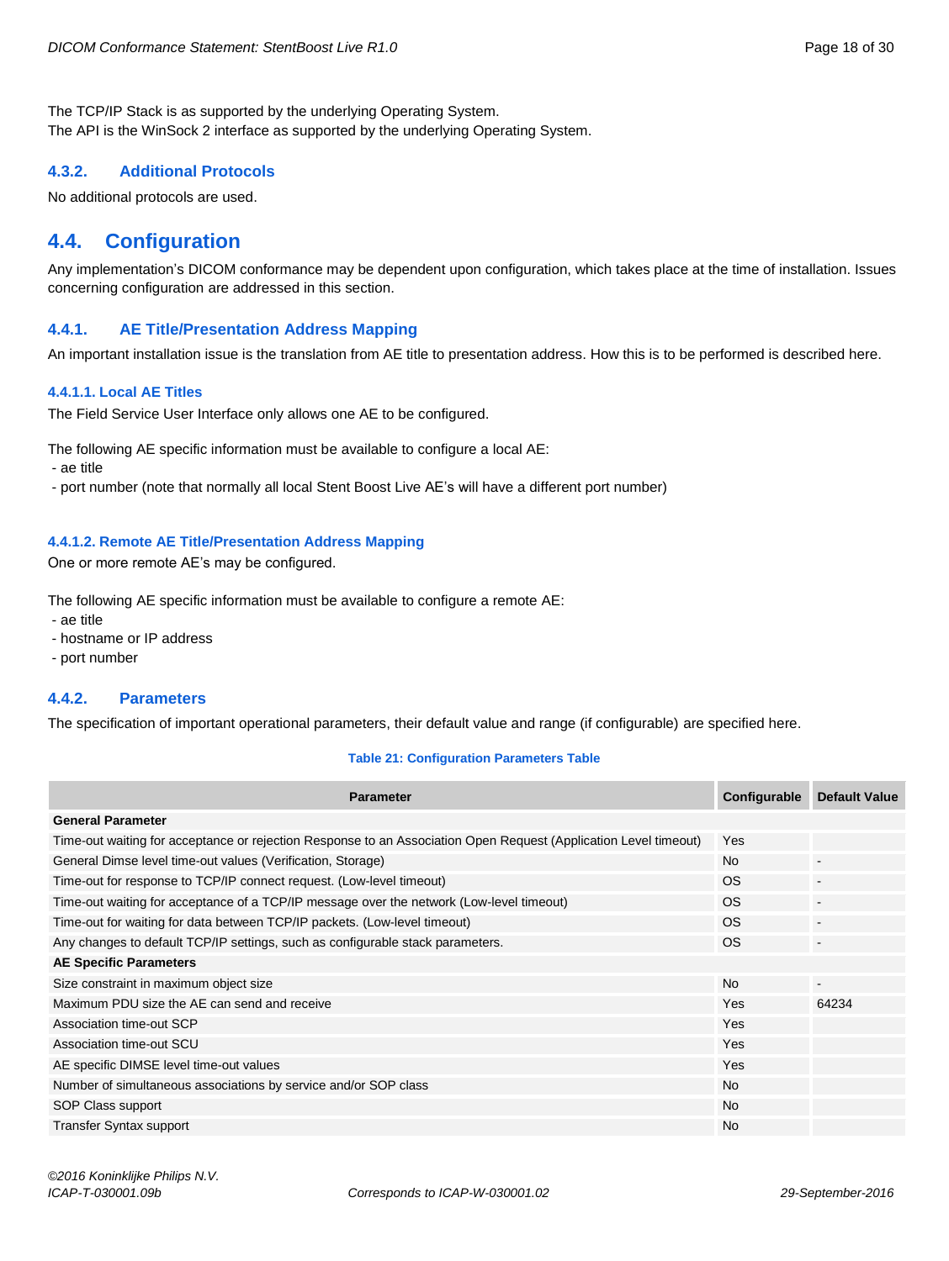The TCP/IP Stack is as supported by the underlying Operating System. The API is the WinSock 2 interface as supported by the underlying Operating System.

#### <span id="page-17-0"></span>**4.3.2. Additional Protocols**

No additional protocols are used.

# <span id="page-17-1"></span>**4.4. Configuration**

Any implementation's DICOM conformance may be dependent upon configuration, which takes place at the time of installation. Issues concerning configuration are addressed in this section.

#### <span id="page-17-2"></span>**4.4.1. AE Title/Presentation Address Mapping**

An important installation issue is the translation from AE title to presentation address. How this is to be performed is described here.

#### <span id="page-17-3"></span>**4.4.1.1. Local AE Titles**

The Field Service User Interface only allows one AE to be configured.

The following AE specific information must be available to configure a local AE:

- ae title

- port number (note that normally all local Stent Boost Live AE's will have a different port number)

#### <span id="page-17-4"></span>**4.4.1.2. Remote AE Title/Presentation Address Mapping**

One or more remote AE's may be configured.

The following AE specific information must be available to configure a remote AE:

- ae title

- hostname or IP address

- port number

#### <span id="page-17-5"></span>**4.4.2. Parameters**

The specification of important operational parameters, their default value and range (if configurable) are specified here.

#### **Table 21: Configuration Parameters Table**

| <b>Parameter</b>                                                                                                 | Configurable | <b>Default Value</b>     |
|------------------------------------------------------------------------------------------------------------------|--------------|--------------------------|
| <b>General Parameter</b>                                                                                         |              |                          |
| Time-out waiting for acceptance or rejection Response to an Association Open Request (Application Level timeout) | Yes          |                          |
| General Dimse level time-out values (Verification, Storage)                                                      | <b>No</b>    | $\overline{\phantom{a}}$ |
| Time-out for response to TCP/IP connect request. (Low-level timeout)                                             | <b>OS</b>    | $\blacksquare$           |
| Time-out waiting for acceptance of a TCP/IP message over the network (Low-level timeout)                         | <b>OS</b>    |                          |
| Time-out for waiting for data between TCP/IP packets. (Low-level timeout)                                        | OS.          |                          |
| Any changes to default TCP/IP settings, such as configurable stack parameters.                                   | <b>OS</b>    | $\overline{\phantom{a}}$ |
| <b>AE Specific Parameters</b>                                                                                    |              |                          |
| Size constraint in maximum object size                                                                           | <b>No</b>    | $\sim$                   |
| Maximum PDU size the AE can send and receive                                                                     | Yes          | 64234                    |
| Association time-out SCP                                                                                         | Yes          |                          |
| Association time-out SCU                                                                                         | Yes          |                          |
| AE specific DIMSE level time-out values                                                                          | Yes          |                          |
| Number of simultaneous associations by service and/or SOP class                                                  | <b>No</b>    |                          |
| SOP Class support                                                                                                | <b>No</b>    |                          |
| <b>Transfer Syntax support</b>                                                                                   | <b>No</b>    |                          |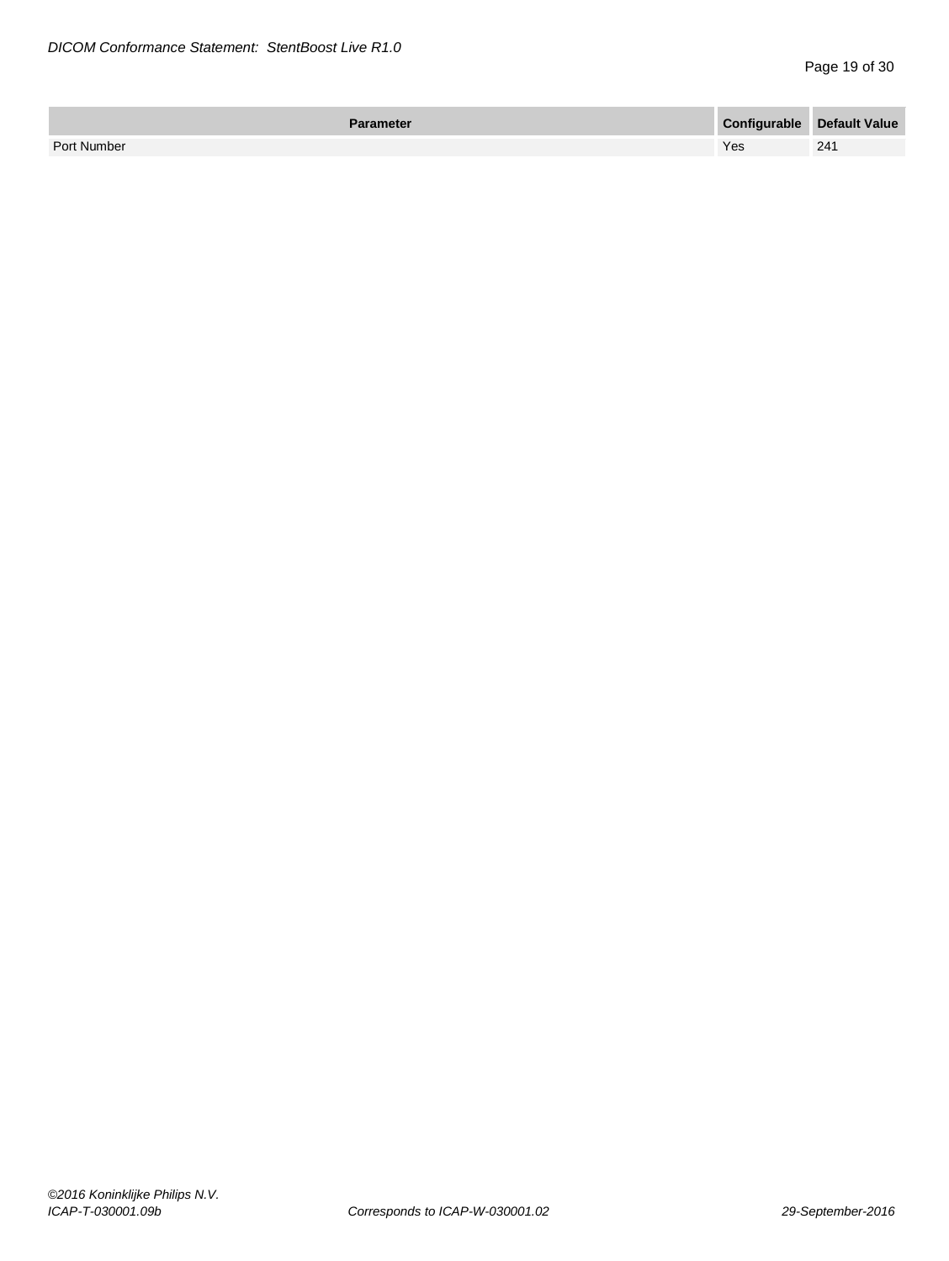| Parameter   | <b>Configurable Default Value</b> |     |
|-------------|-----------------------------------|-----|
| Port Number | Yes                               | 241 |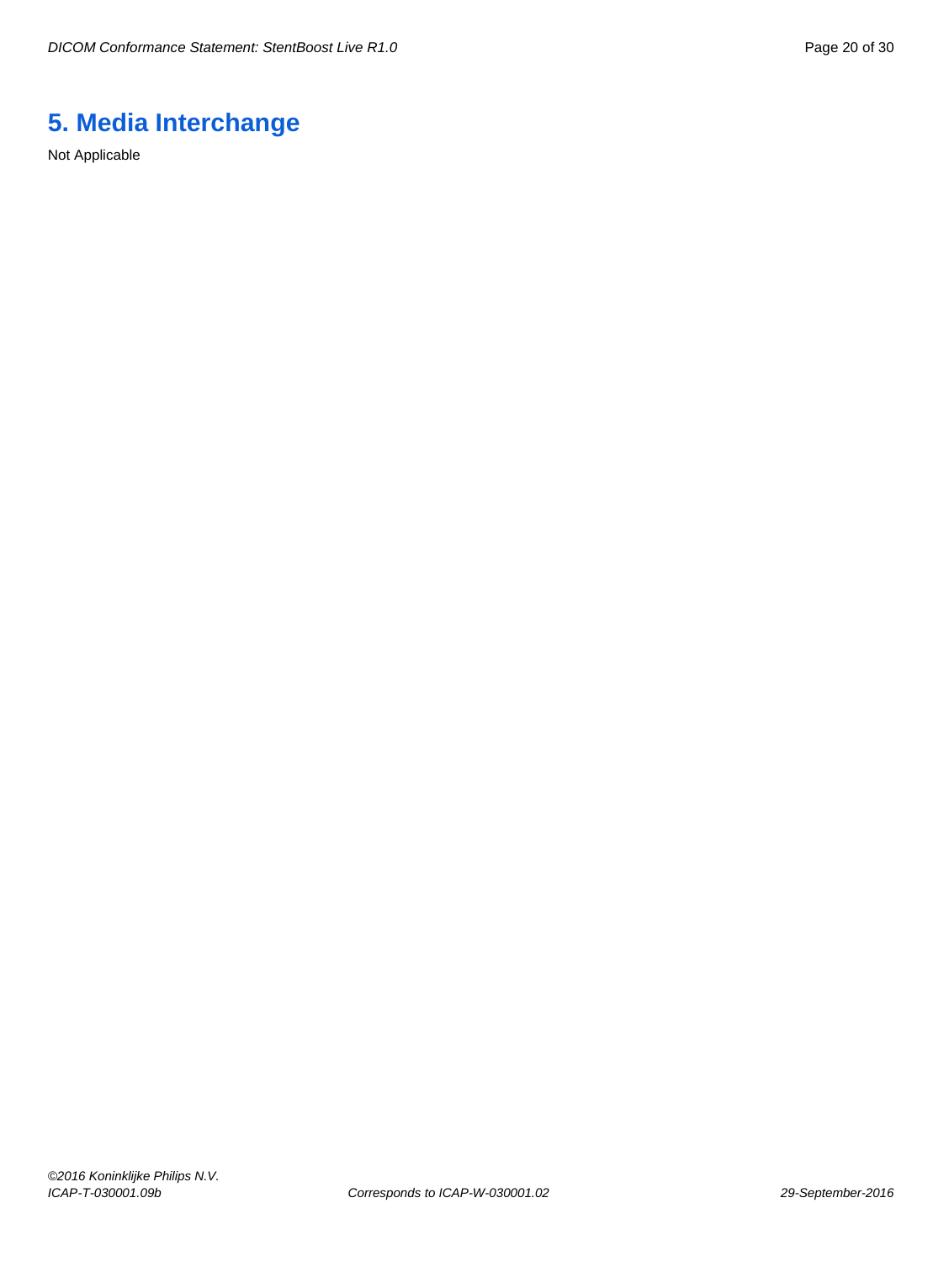# <span id="page-19-0"></span>**5. Media Interchange**

Not Applicable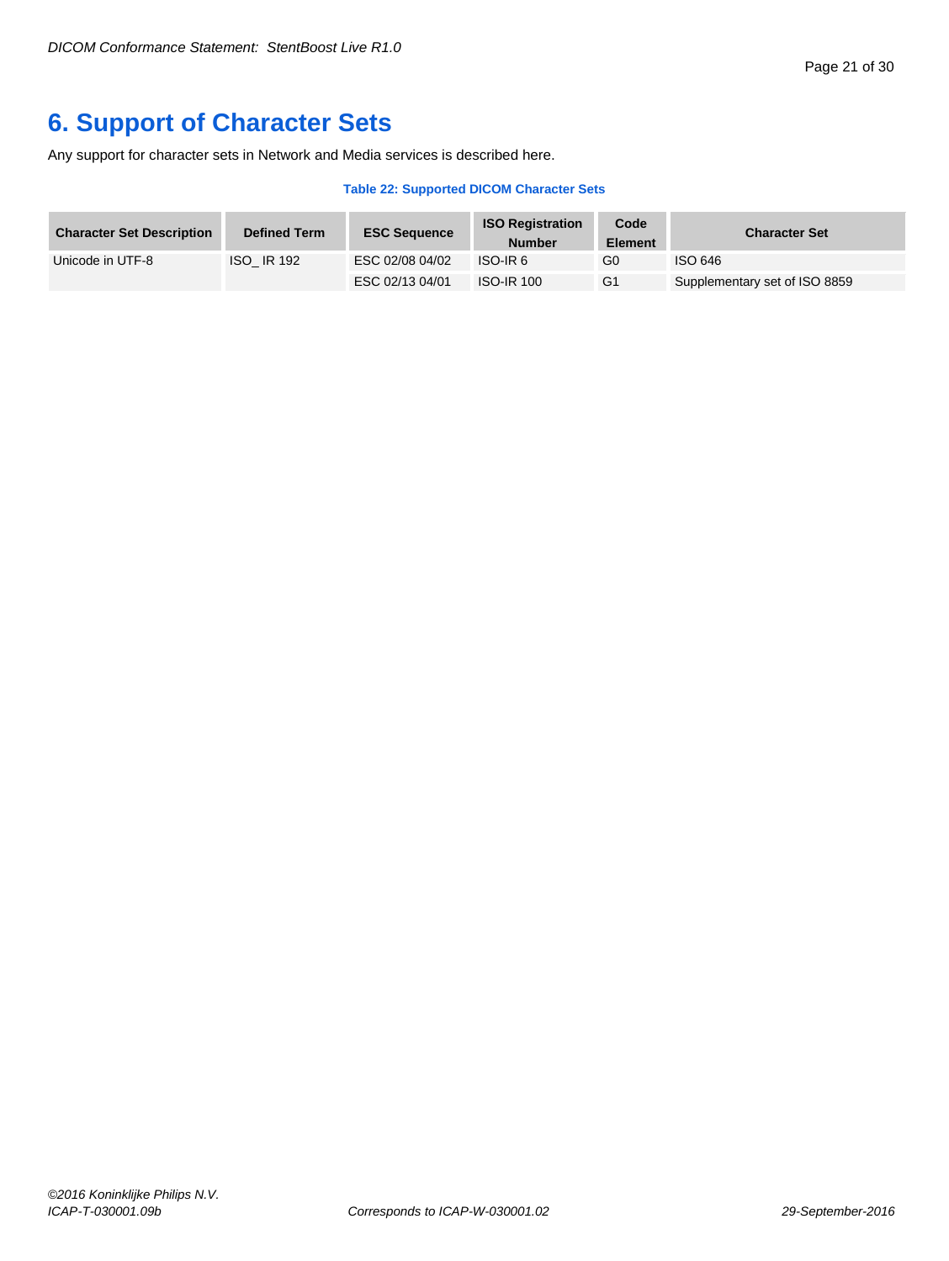# <span id="page-20-0"></span>**6. Support of Character Sets**

Any support for character sets in Network and Media services is described here.

#### **Table 22: Supported DICOM Character Sets**

| <b>Character Set Description</b> | <b>Defined Term</b> | <b>ESC Sequence</b> | <b>ISO Registration</b><br><b>Number</b> | Code<br><b>Element</b> | <b>Character Set</b>          |
|----------------------------------|---------------------|---------------------|------------------------------------------|------------------------|-------------------------------|
| Unicode in UTF-8                 | <b>ISO IR 192</b>   | ESC 02/08 04/02     | ISO-IR <sub>6</sub>                      | G0                     | ISO 646                       |
|                                  |                     | ESC 02/13 04/01     | <b>ISO-IR 100</b>                        | G1                     | Supplementary set of ISO 8859 |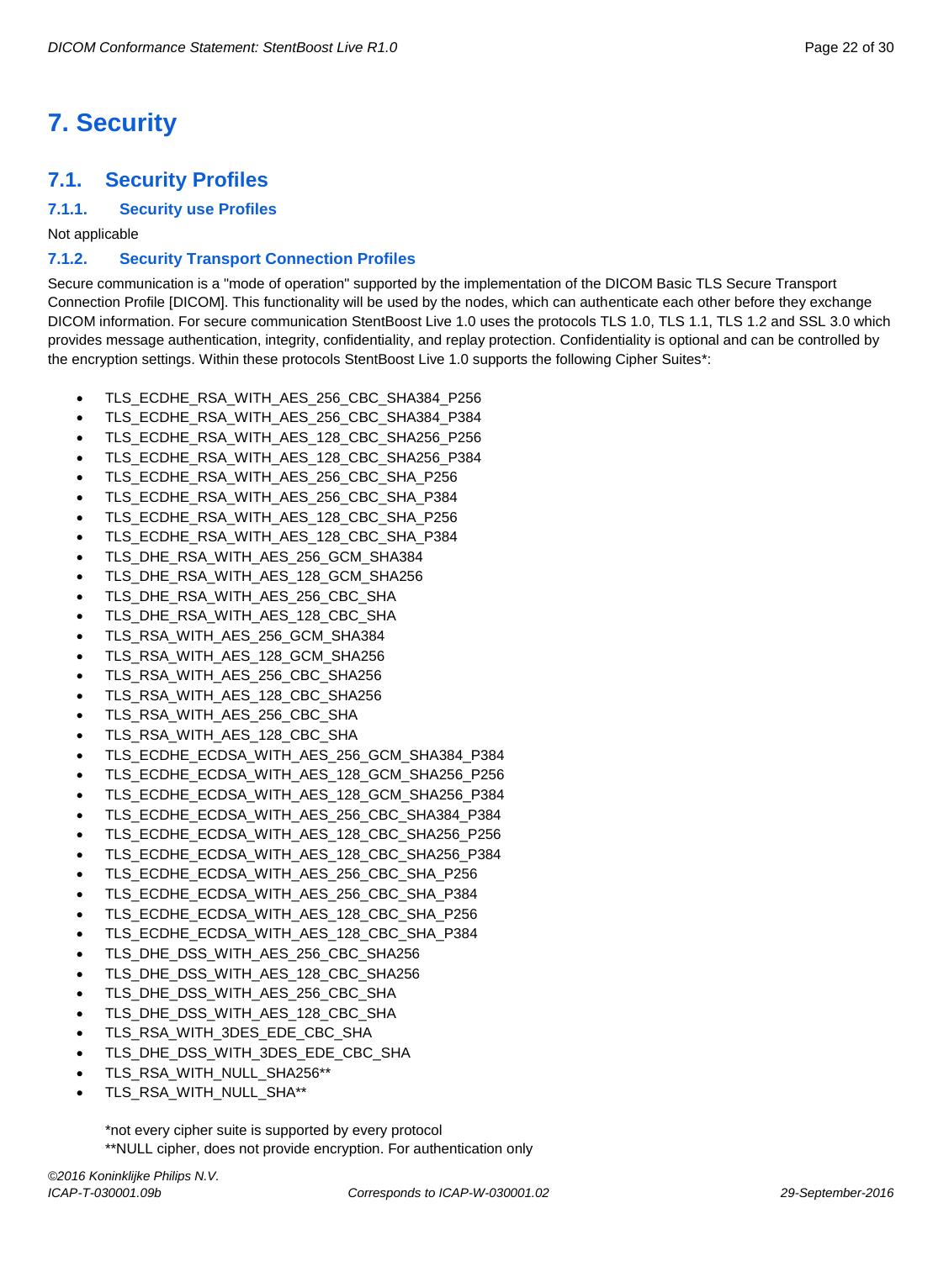# <span id="page-21-0"></span>**7. Security**

# <span id="page-21-1"></span>**7.1. Security Profiles**

#### <span id="page-21-2"></span>**7.1.1. Security use Profiles**

Not applicable

#### <span id="page-21-3"></span>**7.1.2. Security Transport Connection Profiles**

Secure communication is a "mode of operation" supported by the implementation of the DICOM Basic TLS Secure Transport Connection Profile [DICOM]. This functionality will be used by the nodes, which can authenticate each other before they exchange DICOM information. For secure communication StentBoost Live 1.0 uses the protocols TLS 1.0, TLS 1.1, TLS 1.2 and SSL 3.0 which provides message authentication, integrity, confidentiality, and replay protection. Confidentiality is optional and can be controlled by the encryption settings. Within these protocols StentBoost Live 1.0 supports the following Cipher Suites\*:

- TLS\_ECDHE\_RSA\_WITH\_AES\_256\_CBC\_SHA384\_P256
- TLS\_ECDHE\_RSA\_WITH\_AES\_256\_CBC\_SHA384\_P384
- TLS\_ECDHE\_RSA\_WITH\_AES\_128\_CBC\_SHA256\_P256
- TLS\_ECDHE\_RSA\_WITH\_AES\_128\_CBC\_SHA256\_P384
- TLS\_ECDHE\_RSA\_WITH\_AES\_256\_CBC\_SHA\_P256
- TLS\_ECDHE\_RSA\_WITH\_AES\_256\_CBC\_SHA\_P384
- TLS\_ECDHE\_RSA\_WITH\_AES\_128\_CBC\_SHA\_P256
- TLS\_ECDHE\_RSA\_WITH\_AES\_128\_CBC\_SHA\_P384
- TLS\_DHE\_RSA\_WITH\_AES\_256\_GCM\_SHA384
- TLS\_DHE\_RSA\_WITH\_AES\_128\_GCM\_SHA256
- TLS\_DHE\_RSA\_WITH\_AES\_256\_CBC\_SHA
- TLS\_DHE\_RSA\_WITH\_AES\_128\_CBC\_SHA
- TLS\_RSA\_WITH\_AES\_256\_GCM\_SHA384
- TLS\_RSA\_WITH\_AES\_128\_GCM\_SHA256
- TLS\_RSA\_WITH\_AES\_256\_CBC\_SHA256
- TLS\_RSA\_WITH\_AES\_128\_CBC\_SHA256
- TLS\_RSA\_WITH\_AES\_256\_CBC\_SHA
- TLS\_RSA\_WITH\_AES\_128\_CBC\_SHA
- TLS\_ECDHE\_ECDSA\_WITH\_AES\_256\_GCM\_SHA384\_P384
- TLS\_ECDHE\_ECDSA\_WITH\_AES\_128\_GCM\_SHA256\_P256
- TLS\_ECDHE\_ECDSA\_WITH\_AES\_128\_GCM\_SHA256\_P384
- TLS\_ECDHE\_ECDSA\_WITH\_AES\_256\_CBC\_SHA384\_P384
- TLS\_ECDHE\_ECDSA\_WITH\_AES\_128\_CBC\_SHA256\_P256
- TLS\_ECDHE\_ECDSA\_WITH\_AES\_128\_CBC\_SHA256\_P384
- TLS\_ECDHE\_ECDSA\_WITH\_AES\_256\_CBC\_SHA\_P256
- TLS\_ECDHE\_ECDSA\_WITH\_AES\_256\_CBC\_SHA\_P384
- TLS\_ECDHE\_ECDSA\_WITH\_AES\_128\_CBC\_SHA\_P256
- TLS\_ECDHE\_ECDSA\_WITH\_AES\_128\_CBC\_SHA\_P384
- TLS\_DHE\_DSS\_WITH\_AES\_256\_CBC\_SHA256
- TLS\_DHE\_DSS\_WITH\_AES\_128\_CBC\_SHA256
- TLS\_DHE\_DSS\_WITH\_AES\_256\_CBC\_SHA
- TLS\_DHE\_DSS\_WITH\_AES\_128\_CBC\_SHA
- TLS\_RSA\_WITH\_3DES\_EDE\_CBC\_SHA
- TLS\_DHE\_DSS\_WITH\_3DES\_EDE\_CBC\_SHA
- TLS\_RSA\_WITH\_NULL\_SHA256\*\*
- TLS\_RSA\_WITH\_NULL\_SHA\*\*

\*not every cipher suite is supported by every protocol \*\*NULL cipher, does not provide encryption. For authentication only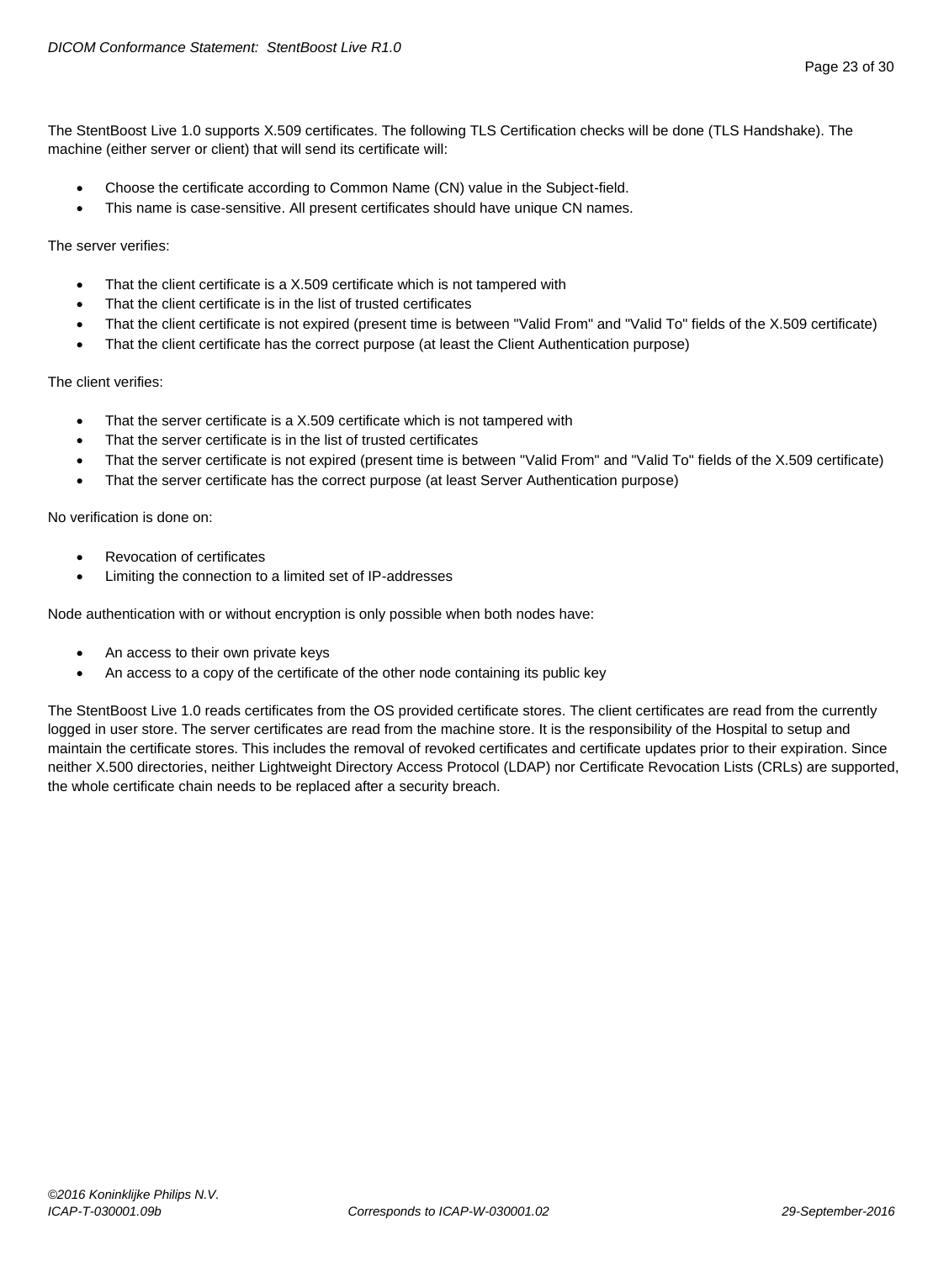The StentBoost Live 1.0 supports X.509 certificates. The following TLS Certification checks will be done (TLS Handshake). The machine (either server or client) that will send its certificate will:

- Choose the certificate according to Common Name (CN) value in the Subject-field.
- This name is case-sensitive. All present certificates should have unique CN names.

The server verifies:

- That the client certificate is a X.509 certificate which is not tampered with
- That the client certificate is in the list of trusted certificates
- That the client certificate is not expired (present time is between "Valid From" and "Valid To" fields of the X.509 certificate)
- That the client certificate has the correct purpose (at least the Client Authentication purpose)

The client verifies:

- That the server certificate is a X.509 certificate which is not tampered with
- That the server certificate is in the list of trusted certificates
- That the server certificate is not expired (present time is between "Valid From" and "Valid To" fields of the X.509 certificate)
- That the server certificate has the correct purpose (at least Server Authentication purpose)

No verification is done on:

- Revocation of certificates
- Limiting the connection to a limited set of IP-addresses

Node authentication with or without encryption is only possible when both nodes have:

- An access to their own private keys
- An access to a copy of the certificate of the other node containing its public key

The StentBoost Live 1.0 reads certificates from the OS provided certificate stores. The client certificates are read from the currently logged in user store. The server certificates are read from the machine store. It is the responsibility of the Hospital to setup and maintain the certificate stores. This includes the removal of revoked certificates and certificate updates prior to their expiration. Since neither X.500 directories, neither Lightweight Directory Access Protocol (LDAP) nor Certificate Revocation Lists (CRLs) are supported, the whole certificate chain needs to be replaced after a security breach.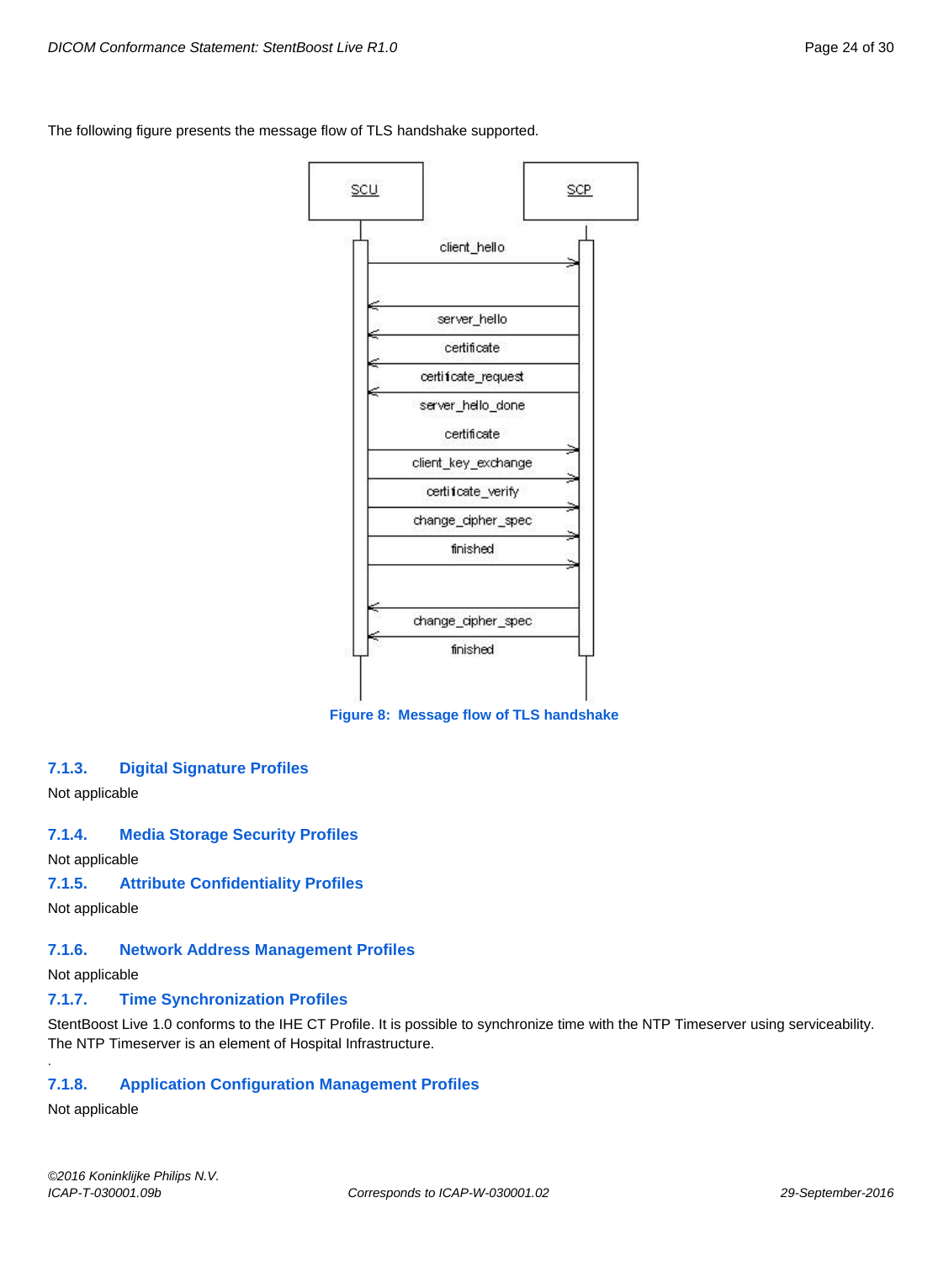The following figure presents the message flow of TLS handshake supported.



**Figure 8: Message flow of TLS handshake**

#### <span id="page-23-0"></span>**7.1.3. Digital Signature Profiles**

Not applicable

#### <span id="page-23-1"></span>**7.1.4. Media Storage Security Profiles**

Not applicable

### <span id="page-23-2"></span>**7.1.5. Attribute Confidentiality Profiles**

Not applicable

### <span id="page-23-3"></span>**7.1.6. Network Address Management Profiles**

Not applicable

### <span id="page-23-4"></span>**7.1.7. Time Synchronization Profiles**

StentBoost Live 1.0 conforms to the IHE CT Profile. It is possible to synchronize time with the NTP Timeserver using serviceability. The NTP Timeserver is an element of Hospital Infrastructure.

### <span id="page-23-5"></span>**7.1.8. Application Configuration Management Profiles**

Not applicable

.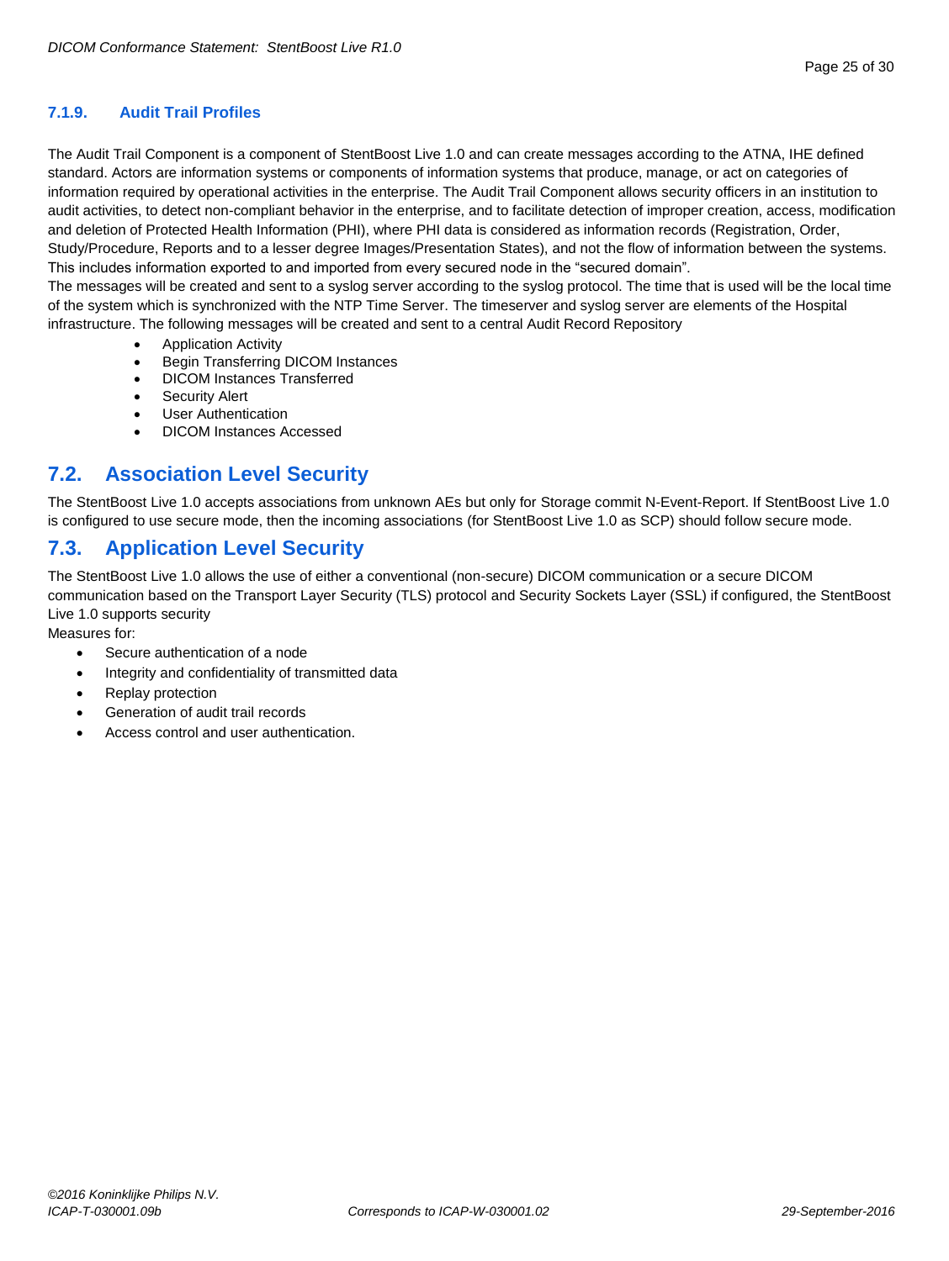#### <span id="page-24-0"></span>**7.1.9. Audit Trail Profiles**

The Audit Trail Component is a component of StentBoost Live 1.0 and can create messages according to the ATNA, IHE defined standard. Actors are information systems or components of information systems that produce, manage, or act on categories of information required by operational activities in the enterprise. The Audit Trail Component allows security officers in an institution to audit activities, to detect non-compliant behavior in the enterprise, and to facilitate detection of improper creation, access, modification and deletion of Protected Health Information (PHI), where PHI data is considered as information records (Registration, Order, Study/Procedure, Reports and to a lesser degree Images/Presentation States), and not the flow of information between the systems. This includes information exported to and imported from every secured node in the "secured domain".

The messages will be created and sent to a syslog server according to the syslog protocol. The time that is used will be the local time of the system which is synchronized with the NTP Time Server. The timeserver and syslog server are elements of the Hospital infrastructure. The following messages will be created and sent to a central Audit Record Repository

- Application Activity
- Begin Transferring DICOM Instances
- DICOM Instances Transferred
- Security Alert
- User Authentication
- DICOM Instances Accessed

# <span id="page-24-1"></span>**7.2. Association Level Security**

The StentBoost Live 1.0 accepts associations from unknown AEs but only for Storage commit N-Event-Report. If StentBoost Live 1.0 is configured to use secure mode, then the incoming associations (for StentBoost Live 1.0 as SCP) should follow secure mode.

# <span id="page-24-2"></span>**7.3. Application Level Security**

The StentBoost Live 1.0 allows the use of either a conventional (non-secure) DICOM communication or a secure DICOM communication based on the Transport Layer Security (TLS) protocol and Security Sockets Layer (SSL) if configured, the StentBoost Live 1.0 supports security

Measures for:

- Secure authentication of a node
- Integrity and confidentiality of transmitted data
- Replay protection
- Generation of audit trail records
- Access control and user authentication.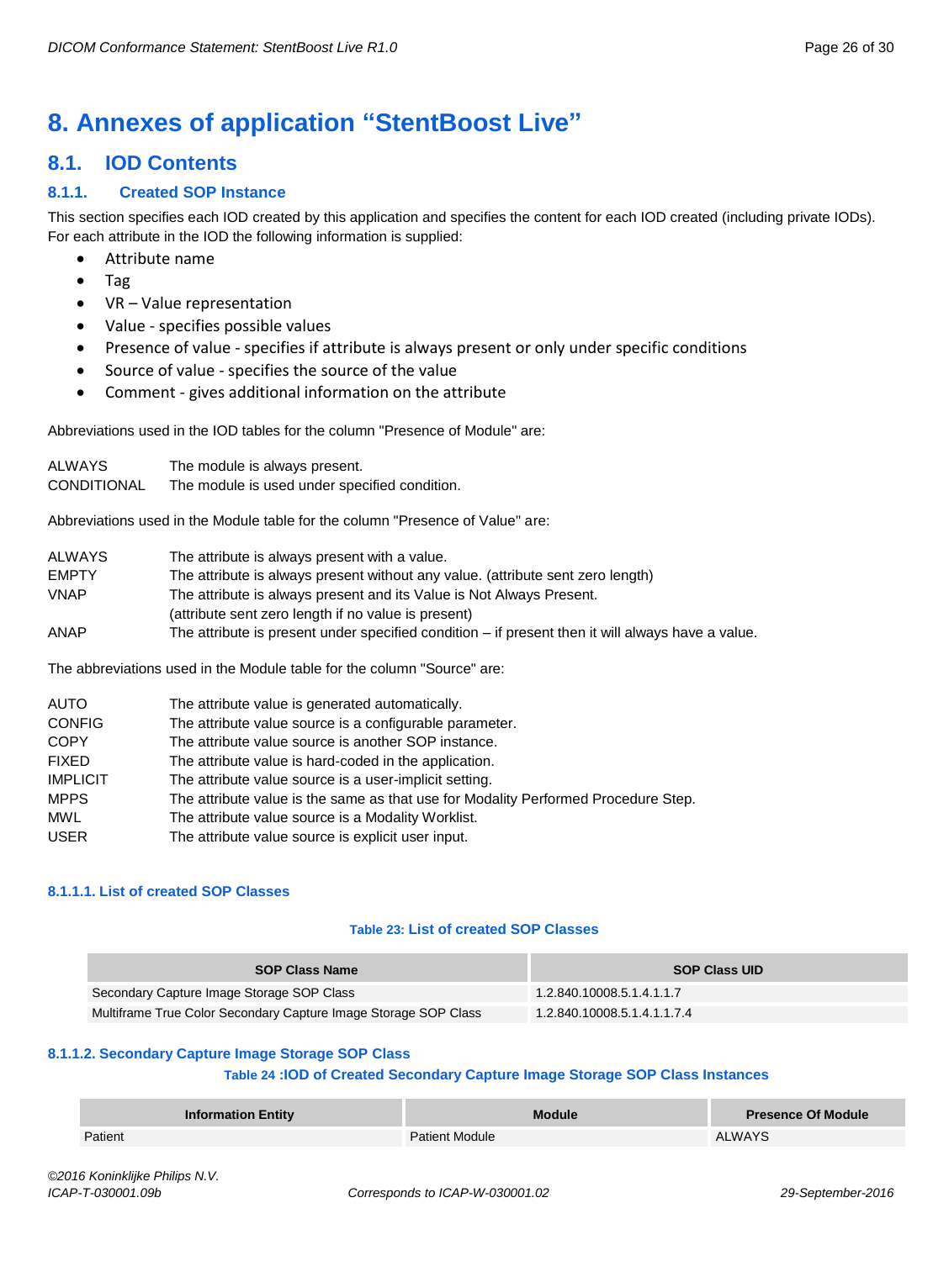# <span id="page-25-0"></span>**8. Annexes of application "StentBoost Live"**

# <span id="page-25-1"></span>**8.1. IOD Contents**

### <span id="page-25-2"></span>**8.1.1. Created SOP Instance**

This section specifies each IOD created by this application and specifies the content for each IOD created (including private IODs). For each attribute in the IOD the following information is supplied:

- Attribute name
- Tag
- VR Value representation
- Value specifies possible values
- Presence of value specifies if attribute is always present or only under specific conditions
- Source of value specifies the source of the value
- Comment gives additional information on the attribute

Abbreviations used in the IOD tables for the column "Presence of Module" are:

| ALWAYS             | The module is always present.                 |
|--------------------|-----------------------------------------------|
| <b>CONDITIONAL</b> | The module is used under specified condition. |

Abbreviations used in the Module table for the column "Presence of Value" are:

| ALWAYS | The attribute is always present with a value.                                                       |
|--------|-----------------------------------------------------------------------------------------------------|
| EMPTY  | The attribute is always present without any value. (attribute sent zero length)                     |
| VNAP   | The attribute is always present and its Value is Not Always Present.                                |
|        | (attribute sent zero length if no value is present)                                                 |
| ANAP   | The attribute is present under specified condition $-$ if present then it will always have a value. |

The abbreviations used in the Module table for the column "Source" are:

| <b>AUTO</b>     | The attribute value is generated automatically.                                    |
|-----------------|------------------------------------------------------------------------------------|
| <b>CONFIG</b>   | The attribute value source is a configurable parameter.                            |
| <b>COPY</b>     | The attribute value source is another SOP instance.                                |
| <b>FIXED</b>    | The attribute value is hard-coded in the application.                              |
| <b>IMPLICIT</b> | The attribute value source is a user-implicit setting.                             |
| <b>MPPS</b>     | The attribute value is the same as that use for Modality Performed Procedure Step. |
| <b>MWL</b>      | The attribute value source is a Modality Worklist.                                 |
| <b>USER</b>     | The attribute value source is explicit user input.                                 |

#### <span id="page-25-3"></span>**8.1.1.1. List of created SOP Classes**

#### **Table 23: List of created SOP Classes**

| <b>SOP Class Name</b>                                           | <b>SOP Class UID</b>        |
|-----------------------------------------------------------------|-----------------------------|
| Secondary Capture Image Storage SOP Class                       | 1.2.840.10008.5.1.4.1.1.7   |
| Multiframe True Color Secondary Capture Image Storage SOP Class | 1.2.840.10008.5.1.4.1.1.7.4 |

#### <span id="page-25-4"></span>**8.1.1.2. Secondary Capture Image Storage SOP Class**

#### **Table 24 :IOD of Created Secondary Capture Image Storage SOP Class Instances**

|         | <b>Information Entity</b> | <b>Module</b>         | <b>Presence Of Module</b> |
|---------|---------------------------|-----------------------|---------------------------|
| Patient |                           | <b>Patient Module</b> | ALWAYS                    |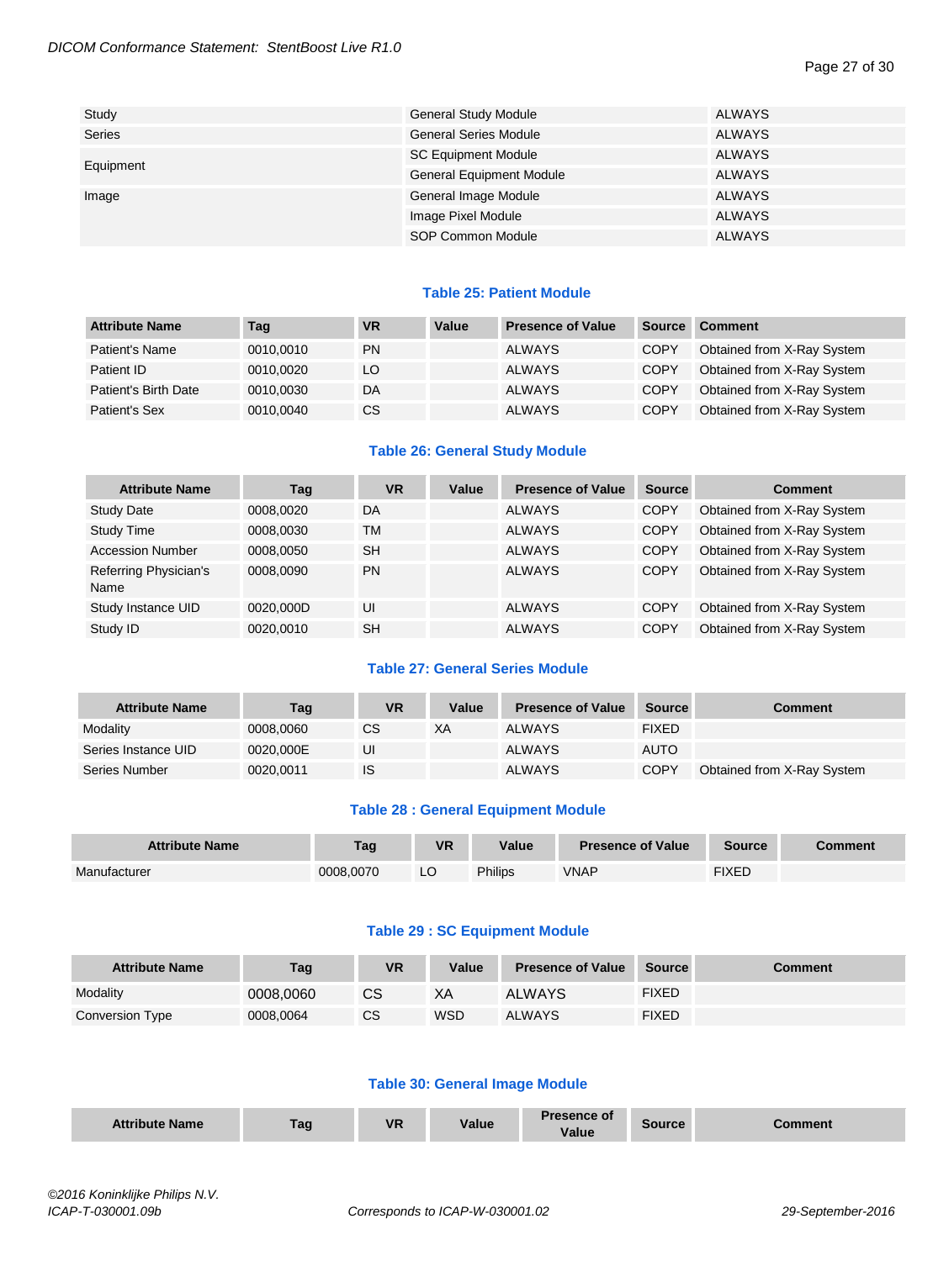#### Page 27 of 30

| Study         | <b>General Study Module</b>     | ALWAYS |
|---------------|---------------------------------|--------|
| <b>Series</b> | <b>General Series Module</b>    | ALWAYS |
|               | <b>SC Equipment Module</b>      | ALWAYS |
| Equipment     | <b>General Equipment Module</b> | ALWAYS |
| Image         | General Image Module            | ALWAYS |
|               | Image Pixel Module              | ALWAYS |
|               | SOP Common Module               | ALWAYS |

#### **Table 25: Patient Module**

| <b>Attribute Name</b> | Tag       | <b>VR</b> | Value | <b>Presence of Value</b> | <b>Source</b> | <b>Comment</b>             |
|-----------------------|-----------|-----------|-------|--------------------------|---------------|----------------------------|
| Patient's Name        | 0010,0010 | <b>PN</b> |       | <b>ALWAYS</b>            | <b>COPY</b>   | Obtained from X-Ray System |
| Patient ID            | 0010.0020 | LO        |       | <b>ALWAYS</b>            | <b>COPY</b>   | Obtained from X-Ray System |
| Patient's Birth Date  | 0010,0030 | DA        |       | <b>ALWAYS</b>            | <b>COPY</b>   | Obtained from X-Ray System |
| Patient's Sex         | 0010,0040 | <b>CS</b> |       | <b>ALWAYS</b>            | <b>COPY</b>   | Obtained from X-Ray System |

#### **Table 26: General Study Module**

| <b>Attribute Name</b>         | Tag       | <b>VR</b> | Value | <b>Presence of Value</b> | <b>Source</b> | <b>Comment</b>             |
|-------------------------------|-----------|-----------|-------|--------------------------|---------------|----------------------------|
| <b>Study Date</b>             | 0008,0020 | DA        |       | <b>ALWAYS</b>            | <b>COPY</b>   | Obtained from X-Ray System |
| Study Time                    | 0008,0030 | <b>TM</b> |       | <b>ALWAYS</b>            | <b>COPY</b>   | Obtained from X-Ray System |
| <b>Accession Number</b>       | 0008.0050 | <b>SH</b> |       | <b>ALWAYS</b>            | <b>COPY</b>   | Obtained from X-Ray System |
| Referring Physician's<br>Name | 0008.0090 | <b>PN</b> |       | <b>ALWAYS</b>            | COPY          | Obtained from X-Ray System |
| Study Instance UID            | 0020.000D | UI        |       | <b>ALWAYS</b>            | <b>COPY</b>   | Obtained from X-Ray System |
| Study ID                      | 0020.0010 | <b>SH</b> |       | <b>ALWAYS</b>            | <b>COPY</b>   | Obtained from X-Ray System |

#### **Table 27: General Series Module**

| <b>Attribute Name</b> | Tag       | <b>VR</b> | Value | <b>Presence of Value</b> | Source       | Comment                    |
|-----------------------|-----------|-----------|-------|--------------------------|--------------|----------------------------|
| Modality              | 0008.0060 | CS        | XA    | <b>ALWAYS</b>            | <b>FIXED</b> |                            |
| Series Instance UID   | 0020.000E | UI        |       | <b>ALWAYS</b>            | <b>AUTO</b>  |                            |
| Series Number         | 0020.0011 | <b>IS</b> |       | <b>ALWAYS</b>            | <b>COPY</b>  | Obtained from X-Ray System |

#### **Table 28 : General Equipment Module**

| <b>Attribute Name</b> | Tag       | <b>VR</b> | Value          | <b>Presence of Value</b> | <b>Source</b> | Comment |
|-----------------------|-----------|-----------|----------------|--------------------------|---------------|---------|
| Manufacturer          | 0008.0070 | LC        | <b>Philips</b> | <b>VNAP</b>              | <b>FIXED</b>  |         |

#### **Table 29 : SC Equipment Module**

| <b>Attribute Name</b> | Tag       | <b>VR</b> | Value      | <b>Presence of Value</b> | Source | Comment |
|-----------------------|-----------|-----------|------------|--------------------------|--------|---------|
| Modality              | 0008.0060 | СS        | XА         | <b>ALWAYS</b>            | FIXED  |         |
| Conversion Type       | 0008.0064 | СS        | <b>WSD</b> | <b>ALWAYS</b>            | FIXED  |         |

#### **Table 30: General Image Module**

| <b>VR</b><br>Value<br>Attrih<br><b>ute Name</b><br>Tag | <b>Presence of</b><br>Source<br>:omment<br>Value |
|--------------------------------------------------------|--------------------------------------------------|
|--------------------------------------------------------|--------------------------------------------------|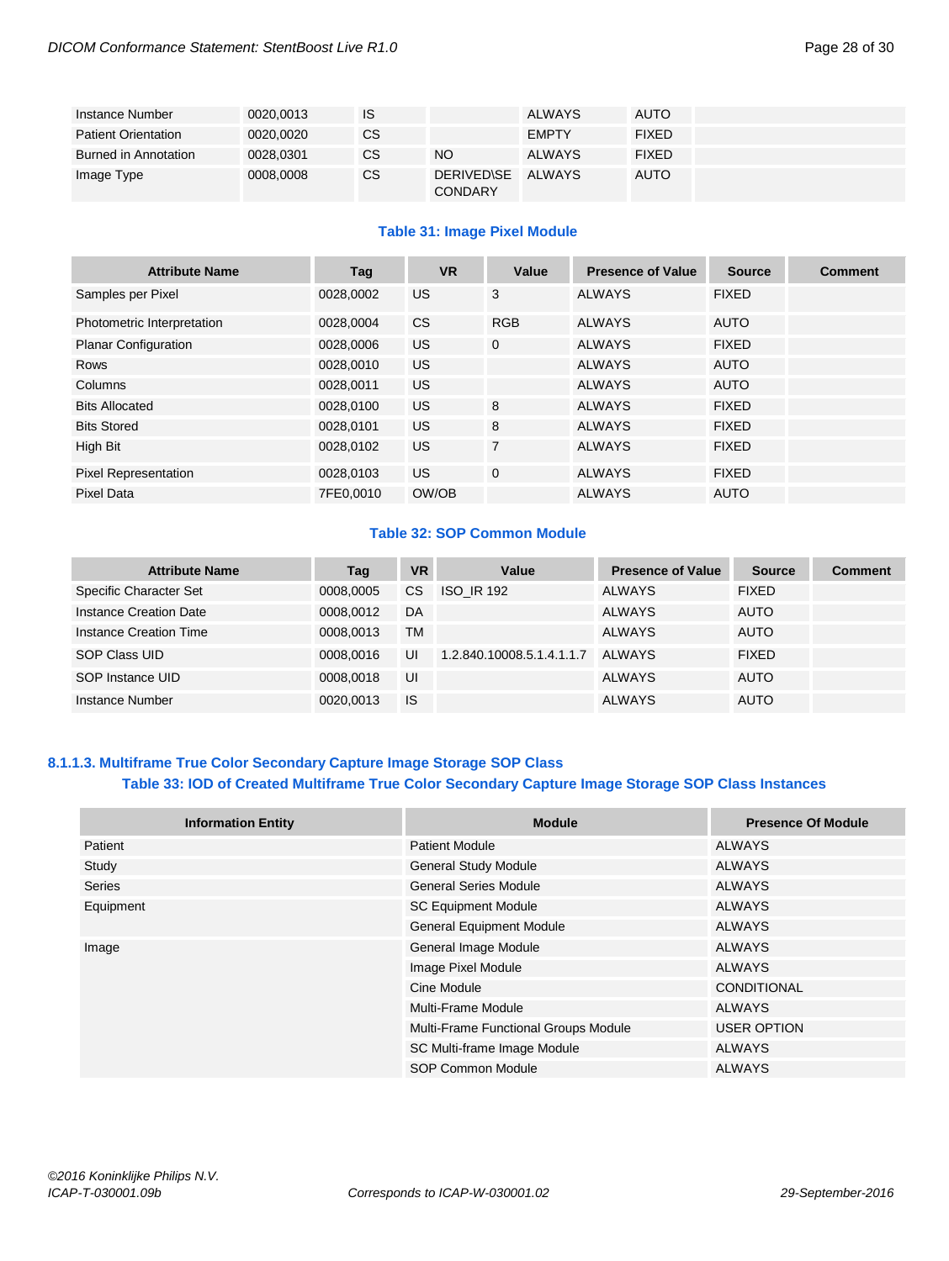| Instance Number            | 0020,0013 | IS        |                                     | <b>ALWAYS</b> | AUTO         |  |
|----------------------------|-----------|-----------|-------------------------------------|---------------|--------------|--|
| <b>Patient Orientation</b> | 0020.0020 | CS        |                                     | <b>EMPTY</b>  | <b>FIXED</b> |  |
| Burned in Annotation       | 0028,0301 | CS        | <b>NO</b>                           | <b>ALWAYS</b> | <b>FIXED</b> |  |
| Image Type                 | 0008,0008 | <b>CS</b> | <b>DERIVED\SE</b><br><b>CONDARY</b> | ALWAYS        | AUTO         |  |

#### **Table 31: Image Pixel Module**

| <b>Attribute Name</b>       | Tag       | <b>VR</b> | Value          | <b>Presence of Value</b> | <b>Source</b> | <b>Comment</b> |
|-----------------------------|-----------|-----------|----------------|--------------------------|---------------|----------------|
| Samples per Pixel           | 0028.0002 | US.       | 3              | <b>ALWAYS</b>            | <b>FIXED</b>  |                |
| Photometric Interpretation  | 0028,0004 | <b>CS</b> | <b>RGB</b>     | <b>ALWAYS</b>            | <b>AUTO</b>   |                |
| <b>Planar Configuration</b> | 0028,0006 | <b>US</b> | $\mathbf{0}$   | <b>ALWAYS</b>            | <b>FIXED</b>  |                |
| Rows                        | 0028.0010 | US.       |                | <b>ALWAYS</b>            | <b>AUTO</b>   |                |
| Columns                     | 0028.0011 | US.       |                | <b>ALWAYS</b>            | <b>AUTO</b>   |                |
| <b>Bits Allocated</b>       | 0028.0100 | US.       | 8              | <b>ALWAYS</b>            | <b>FIXED</b>  |                |
| <b>Bits Stored</b>          | 0028,0101 | US.       | 8              | <b>ALWAYS</b>            | <b>FIXED</b>  |                |
| High Bit                    | 0028,0102 | <b>US</b> | $\overline{7}$ | <b>ALWAYS</b>            | <b>FIXED</b>  |                |
| <b>Pixel Representation</b> | 0028.0103 | US.       | $\mathbf{0}$   | <b>ALWAYS</b>            | <b>FIXED</b>  |                |
| Pixel Data                  | 7FE0.0010 | OW/OB     |                | <b>ALWAYS</b>            | <b>AUTO</b>   |                |

#### **Table 32: SOP Common Module**

| <b>Attribute Name</b>  | Tag       | <b>VR</b> | Value                     | <b>Presence of Value</b> | <b>Source</b> | Comment |
|------------------------|-----------|-----------|---------------------------|--------------------------|---------------|---------|
| Specific Character Set | 0008,0005 | <b>CS</b> | <b>ISO IR 192</b>         | <b>ALWAYS</b>            | <b>FIXED</b>  |         |
| Instance Creation Date | 0008.0012 | DA        |                           | <b>ALWAYS</b>            | <b>AUTO</b>   |         |
| Instance Creation Time | 0008,0013 | <b>TM</b> |                           | <b>ALWAYS</b>            | <b>AUTO</b>   |         |
| SOP Class UID          | 0008.0016 | UI        | 1.2.840.10008.5.1.4.1.1.7 | ALWAYS                   | <b>FIXED</b>  |         |
| SOP Instance UID       | 0008.0018 | UI        |                           | <b>ALWAYS</b>            | <b>AUTO</b>   |         |
| Instance Number        | 0020.0013 | <b>IS</b> |                           | <b>ALWAYS</b>            | <b>AUTO</b>   |         |

### <span id="page-27-0"></span>**8.1.1.3. Multiframe True Color Secondary Capture Image Storage SOP Class Table 33: IOD of Created Multiframe True Color Secondary Capture Image Storage SOP Class Instances**

| <b>Information Entity</b> | <b>Module</b>                        | <b>Presence Of Module</b> |
|---------------------------|--------------------------------------|---------------------------|
| Patient                   | <b>Patient Module</b>                | ALWAYS                    |
| Study                     | <b>General Study Module</b>          | <b>ALWAYS</b>             |
| <b>Series</b>             | <b>General Series Module</b>         | <b>ALWAYS</b>             |
| Equipment                 | <b>SC Equipment Module</b>           | <b>ALWAYS</b>             |
|                           | <b>General Equipment Module</b>      | ALWAYS                    |
| Image                     | General Image Module                 | ALWAYS                    |
|                           | Image Pixel Module                   | <b>ALWAYS</b>             |
|                           | Cine Module                          | <b>CONDITIONAL</b>        |
|                           | Multi-Frame Module                   | <b>ALWAYS</b>             |
|                           | Multi-Frame Functional Groups Module | <b>USER OPTION</b>        |
|                           | SC Multi-frame Image Module          | <b>ALWAYS</b>             |
|                           | SOP Common Module                    | <b>ALWAYS</b>             |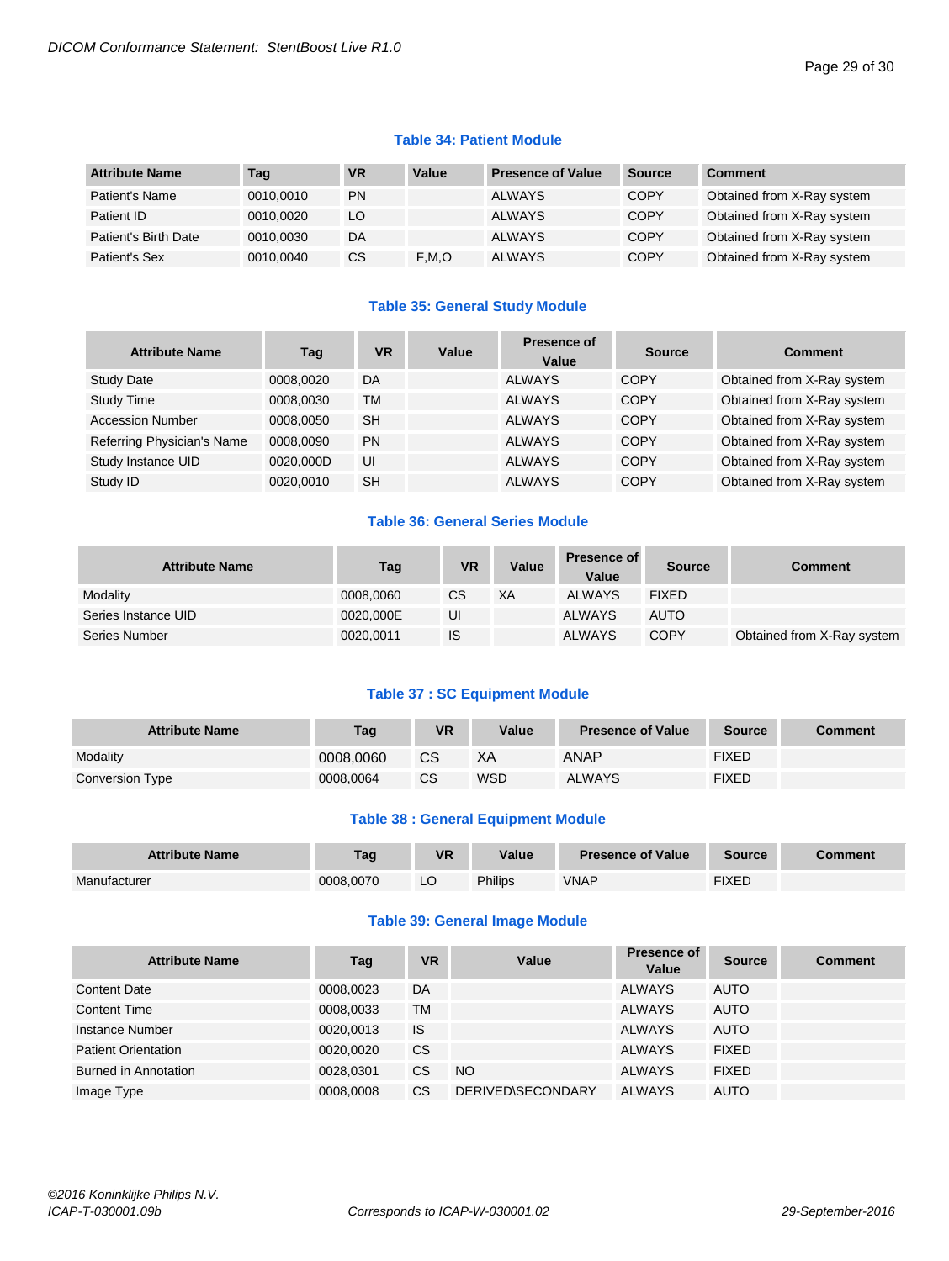#### **Table 34: Patient Module**

| <b>Attribute Name</b> | Tag       | <b>VR</b> | Value | <b>Presence of Value</b> | Source      | <b>Comment</b>             |
|-----------------------|-----------|-----------|-------|--------------------------|-------------|----------------------------|
| Patient's Name        | 0010.0010 | PN        |       | <b>ALWAYS</b>            | <b>COPY</b> | Obtained from X-Ray system |
| Patient ID            | 0010.0020 | LO        |       | <b>ALWAYS</b>            | <b>COPY</b> | Obtained from X-Ray system |
| Patient's Birth Date  | 0010.0030 | DA        |       | <b>ALWAYS</b>            | <b>COPY</b> | Obtained from X-Ray system |
| Patient's Sex         | 0010.0040 | СS        | F.M.O | <b>ALWAYS</b>            | <b>COPY</b> | Obtained from X-Ray system |

#### **Table 35: General Study Module**

| <b>Attribute Name</b>      | Taq       | <b>VR</b> | Value | <b>Presence of</b><br>Value | <b>Source</b> | Comment                    |
|----------------------------|-----------|-----------|-------|-----------------------------|---------------|----------------------------|
| <b>Study Date</b>          | 0008,0020 | DA        |       | <b>ALWAYS</b>               | <b>COPY</b>   | Obtained from X-Ray system |
| Study Time                 | 0008.0030 | TM        |       | <b>ALWAYS</b>               | <b>COPY</b>   | Obtained from X-Ray system |
| <b>Accession Number</b>    | 0008.0050 | <b>SH</b> |       | <b>ALWAYS</b>               | <b>COPY</b>   | Obtained from X-Ray system |
| Referring Physician's Name | 0008.0090 | <b>PN</b> |       | <b>ALWAYS</b>               | <b>COPY</b>   | Obtained from X-Ray system |
| Study Instance UID         | 0020.000D | UI        |       | <b>ALWAYS</b>               | <b>COPY</b>   | Obtained from X-Ray system |
| Study ID                   | 0020.0010 | <b>SH</b> |       | <b>ALWAYS</b>               | <b>COPY</b>   | Obtained from X-Ray system |

### **Table 36: General Series Module**

| <b>Attribute Name</b> | Tag       | VR | Value     | <b>Presence of</b><br>Value | <b>Source</b> | <b>Comment</b>             |
|-----------------------|-----------|----|-----------|-----------------------------|---------------|----------------------------|
| Modality              | 0008,0060 | CS | <b>XA</b> | <b>ALWAYS</b>               | <b>FIXED</b>  |                            |
| Series Instance UID   | 0020.000E | UI |           | <b>ALWAYS</b>               | <b>AUTO</b>   |                            |
| Series Number         | 0020,0011 | IS |           | <b>ALWAYS</b>               | <b>COPY</b>   | Obtained from X-Ray system |

#### **Table 37 : SC Equipment Module**

| <b>Attribute Name</b> | Tag       | VR        | Value | <b>Presence of Value</b> | <b>Source</b> | Comment |
|-----------------------|-----------|-----------|-------|--------------------------|---------------|---------|
| Modality              | 0008,0060 | CS        | ХA    | <b>ANAP</b>              | <b>FIXED</b>  |         |
| Conversion Type       | 0008.0064 | <b>CS</b> | WSD   | <b>ALWAYS</b>            | <b>FIXED</b>  |         |

#### **Table 38 : General Equipment Module**

| <b>Attribute Name</b> | Tag       | VR | Value   | <b>Presence of Value</b> | <b>Source</b> | <b>Comment</b> |
|-----------------------|-----------|----|---------|--------------------------|---------------|----------------|
| Manufacturer          | 0008.0070 |    | Philips | <b>VNAP</b>              | FIXED         |                |

#### **Table 39: General Image Module**

| <b>Attribute Name</b>      | Tag       | <b>VR</b> | Value             | Presence of<br>Value | <b>Source</b> | <b>Comment</b> |
|----------------------------|-----------|-----------|-------------------|----------------------|---------------|----------------|
| <b>Content Date</b>        | 0008,0023 | DA        |                   | <b>ALWAYS</b>        | <b>AUTO</b>   |                |
| <b>Content Time</b>        | 0008,0033 | TM        |                   | <b>ALWAYS</b>        | <b>AUTO</b>   |                |
| Instance Number            | 0020,0013 | IS        |                   | <b>ALWAYS</b>        | <b>AUTO</b>   |                |
| <b>Patient Orientation</b> | 0020,0020 | <b>CS</b> |                   | <b>ALWAYS</b>        | <b>FIXED</b>  |                |
| Burned in Annotation       | 0028,0301 | CS        | NO.               | <b>ALWAYS</b>        | <b>FIXED</b>  |                |
| Image Type                 | 0008.0008 | CS        | DERIVED\SECONDARY | <b>ALWAYS</b>        | <b>AUTO</b>   |                |